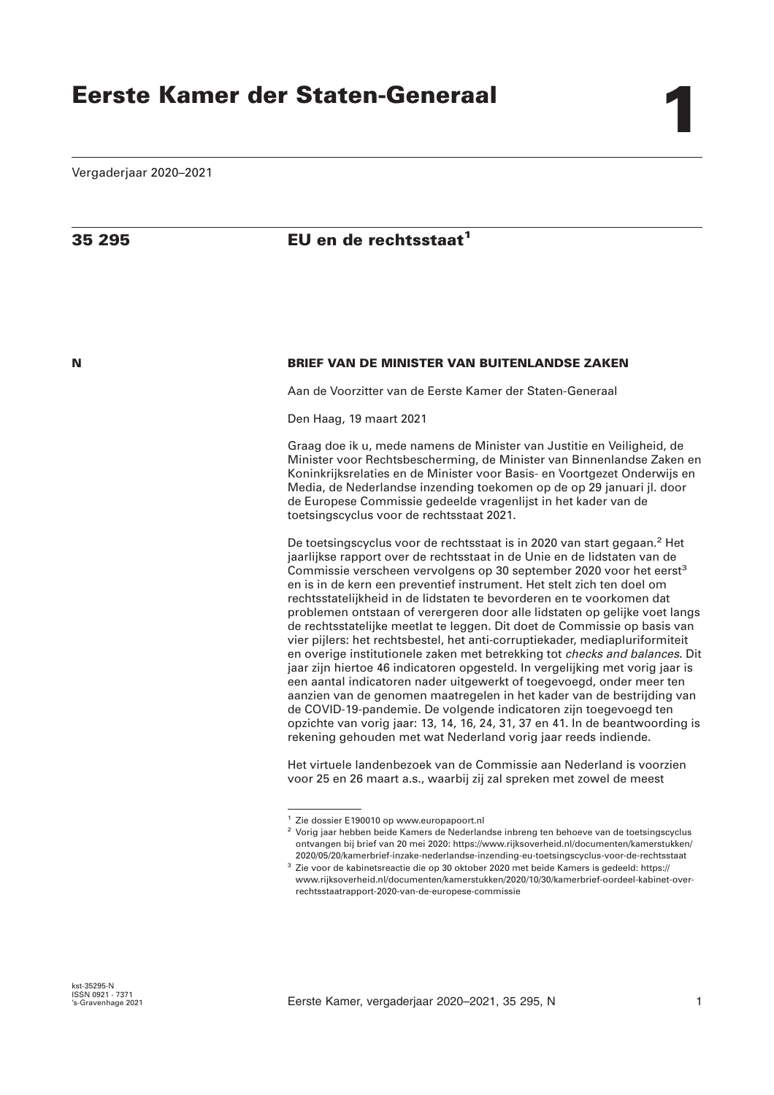# **35 295 EU en de rechtsstaat<sup>1</sup>**

# **N BRIEF VAN DE MINISTER VAN BUITENLANDSE ZAKEN**

Aan de Voorzitter van de Eerste Kamer der Staten-Generaal

Den Haag, 19 maart 2021

Graag doe ik u, mede namens de Minister van Justitie en Veiligheid, de Minister voor Rechtsbescherming, de Minister van Binnenlandse Zaken en Koninkrijksrelaties en de Minister voor Basis- en Voortgezet Onderwijs en Media, de Nederlandse inzending toekomen op de op 29 januari jl. door de Europese Commissie gedeelde vragenlijst in het kader van de toetsingscyclus voor de rechtsstaat 2021.

De toetsingscyclus voor de rechtsstaat is in 2020 van start gegaan.<sup>2</sup> Het jaarlijkse rapport over de rechtsstaat in de Unie en de lidstaten van de Commissie verscheen vervolgens op 30 september 2020 voor het eerst<sup>3</sup> en is in de kern een preventief instrument. Het stelt zich ten doel om rechtsstatelijkheid in de lidstaten te bevorderen en te voorkomen dat problemen ontstaan of verergeren door alle lidstaten op gelijke voet langs de rechtsstatelijke meetlat te leggen. Dit doet de Commissie op basis van vier pijlers: het rechtsbestel, het anti-corruptiekader, mediapluriformiteit en overige institutionele zaken met betrekking tot *checks and balances*. Dit jaar zijn hiertoe 46 indicatoren opgesteld. In vergelijking met vorig jaar is een aantal indicatoren nader uitgewerkt of toegevoegd, onder meer ten aanzien van de genomen maatregelen in het kader van de bestrijding van de COVID-19-pandemie. De volgende indicatoren zijn toegevoegd ten opzichte van vorig jaar: 13, 14, 16, 24, 31, 37 en 41. In de beantwoording is rekening gehouden met wat Nederland vorig jaar reeds indiende.

Het virtuele landenbezoek van de Commissie aan Nederland is voorzien voor 25 en 26 maart a.s., waarbij zij zal spreken met zowel de meest

<sup>1</sup> Zie dossier E190010 op www.europapoort.nl

<sup>2</sup> Vorig jaar hebben beide Kamers de Nederlandse inbreng ten behoeve van de toetsingscyclus ontvangen bij brief van 20 mei 2020: https://www.rijksoverheid.nl/documenten/kamerstukken/ 2020/05/20/kamerbrief-inzake-nederlandse-inzending-eu-toetsingscyclus-voor-de-rechtsstaat

<sup>3</sup> Zie voor de kabinetsreactie die op 30 oktober 2020 met beide Kamers is gedeeld: https:// www.rijksoverheid.nl/documenten/kamerstukken/2020/10/30/kamerbrief-oordeel-kabinet-overrechtsstaatrapport-2020-van-de-europese-commissie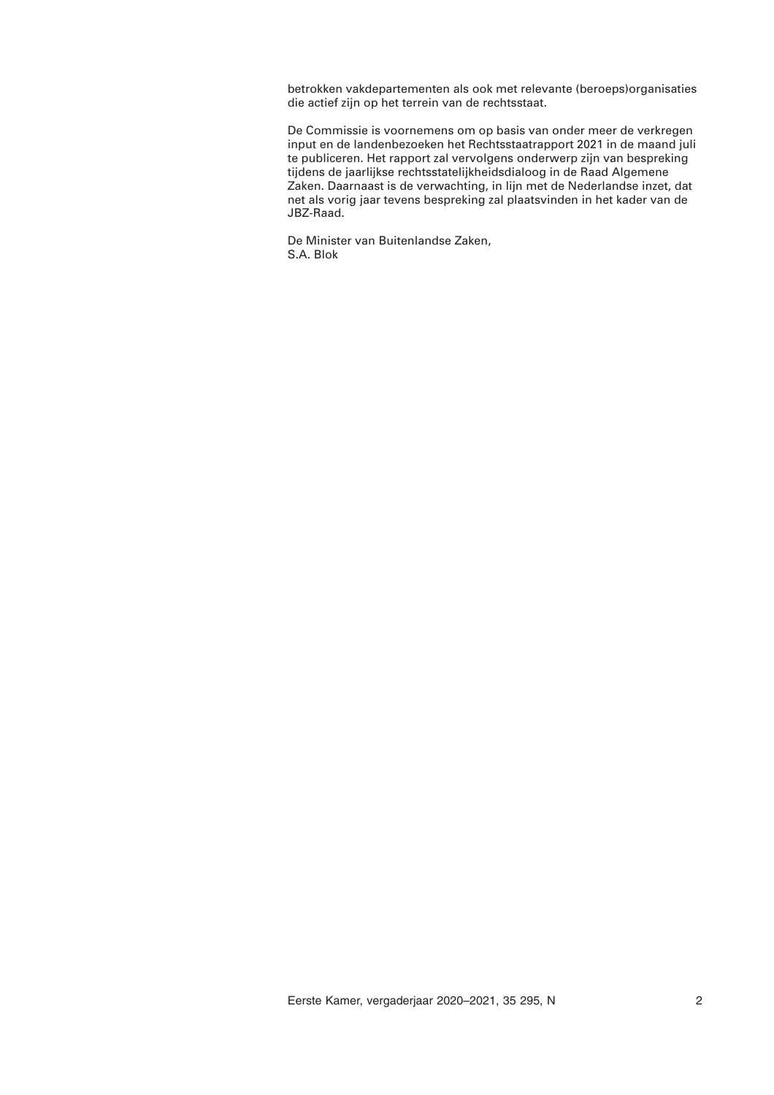betrokken vakdepartementen als ook met relevante (beroeps)organisaties die actief zijn op het terrein van de rechtsstaat.

De Commissie is voornemens om op basis van onder meer de verkregen input en de landenbezoeken het Rechtsstaatrapport 2021 in de maand juli te publiceren. Het rapport zal vervolgens onderwerp zijn van bespreking tijdens de jaarlijkse rechtsstatelijkheidsdialoog in de Raad Algemene Zaken. Daarnaast is de verwachting, in lijn met de Nederlandse inzet, dat net als vorig jaar tevens bespreking zal plaatsvinden in het kader van de JBZ-Raad.

De Minister van Buitenlandse Zaken, S.A. Blok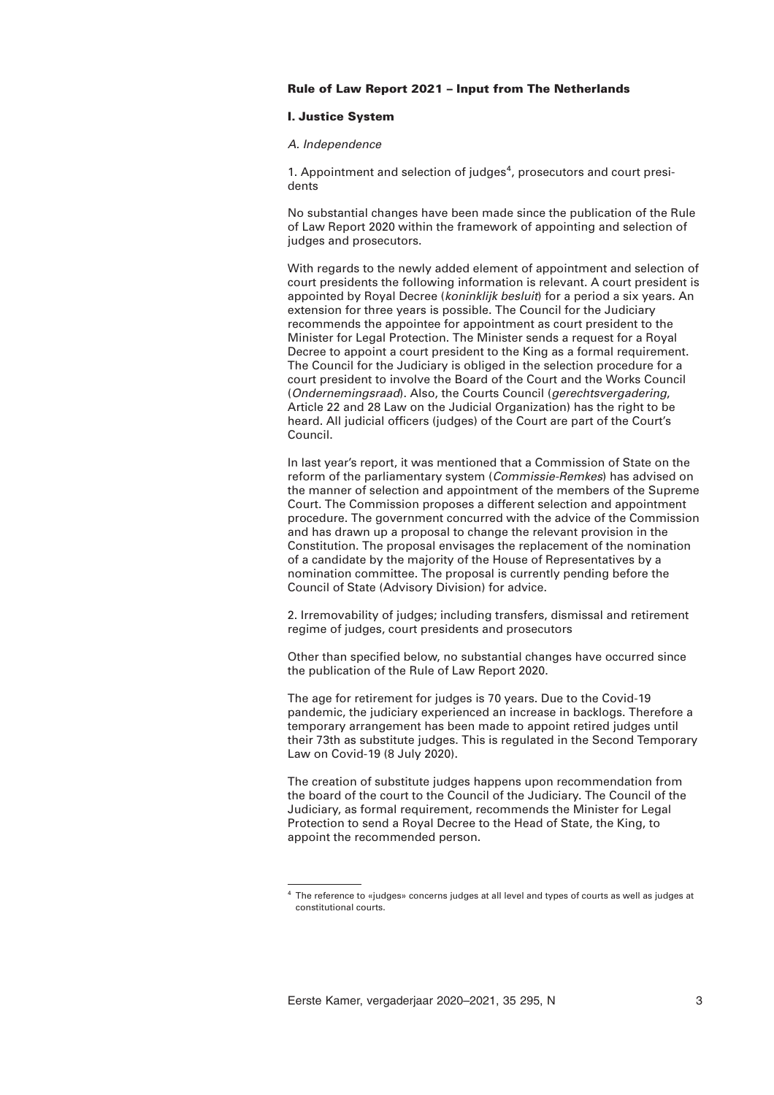# **Rule of Law Report 2021 – Input from The Netherlands**

## **I. Justice System**

### *A. Independence*

1. Appointment and selection of judges<sup>4</sup>, prosecutors and court presidents

No substantial changes have been made since the publication of the Rule of Law Report 2020 within the framework of appointing and selection of judges and prosecutors.

With regards to the newly added element of appointment and selection of court presidents the following information is relevant. A court president is appointed by Royal Decree (*koninklijk besluit*) for a period a six years. An extension for three years is possible. The Council for the Judiciary recommends the appointee for appointment as court president to the Minister for Legal Protection. The Minister sends a request for a Royal Decree to appoint a court president to the King as a formal requirement. The Council for the Judiciary is obliged in the selection procedure for a court president to involve the Board of the Court and the Works Council (*Ondernemingsraad*). Also, the Courts Council (*gerechtsvergadering*, Article 22 and 28 Law on the Judicial Organization) has the right to be heard. All judicial officers (judges) of the Court are part of the Court's Council.

In last year's report, it was mentioned that a Commission of State on the reform of the parliamentary system (*Commissie-Remkes*) has advised on the manner of selection and appointment of the members of the Supreme Court. The Commission proposes a different selection and appointment procedure. The government concurred with the advice of the Commission and has drawn up a proposal to change the relevant provision in the Constitution. The proposal envisages the replacement of the nomination of a candidate by the majority of the House of Representatives by a nomination committee. The proposal is currently pending before the Council of State (Advisory Division) for advice.

2. Irremovability of judges; including transfers, dismissal and retirement regime of judges, court presidents and prosecutors

Other than specified below, no substantial changes have occurred since the publication of the Rule of Law Report 2020.

The age for retirement for judges is 70 years. Due to the Covid-19 pandemic, the judiciary experienced an increase in backlogs. Therefore a temporary arrangement has been made to appoint retired judges until their 73th as substitute judges. This is regulated in the Second Temporary Law on Covid-19 (8 July 2020).

The creation of substitute judges happens upon recommendation from the board of the court to the Council of the Judiciary. The Council of the Judiciary, as formal requirement, recommends the Minister for Legal Protection to send a Royal Decree to the Head of State, the King, to appoint the recommended person.

 $4$  The reference to «judges» concerns judges at all level and types of courts as well as judges at constitutional courts.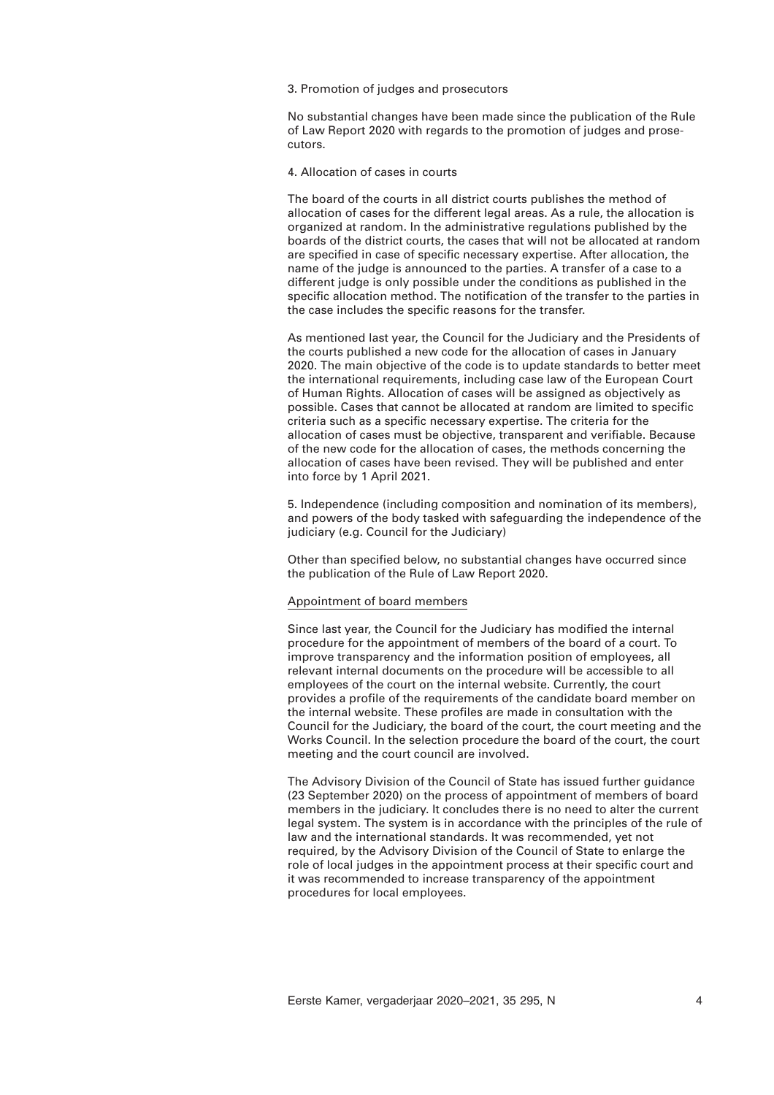3. Promotion of judges and prosecutors

No substantial changes have been made since the publication of the Rule of Law Report 2020 with regards to the promotion of judges and prosecutors.

4. Allocation of cases in courts

The board of the courts in all district courts publishes the method of allocation of cases for the different legal areas. As a rule, the allocation is organized at random. In the administrative regulations published by the boards of the district courts, the cases that will not be allocated at random are specified in case of specific necessary expertise. After allocation, the name of the judge is announced to the parties. A transfer of a case to a different judge is only possible under the conditions as published in the specific allocation method. The notification of the transfer to the parties in the case includes the specific reasons for the transfer.

As mentioned last year, the Council for the Judiciary and the Presidents of the courts published a new code for the allocation of cases in January 2020. The main objective of the code is to update standards to better meet the international requirements, including case law of the European Court of Human Rights. Allocation of cases will be assigned as objectively as possible. Cases that cannot be allocated at random are limited to specific criteria such as a specific necessary expertise. The criteria for the allocation of cases must be objective, transparent and verifiable. Because of the new code for the allocation of cases, the methods concerning the allocation of cases have been revised. They will be published and enter into force by 1 April 2021.

5. Independence (including composition and nomination of its members), and powers of the body tasked with safeguarding the independence of the judiciary (e.g. Council for the Judiciary)

Other than specified below, no substantial changes have occurred since the publication of the Rule of Law Report 2020.

## Appointment of board members

Since last year, the Council for the Judiciary has modified the internal procedure for the appointment of members of the board of a court. To improve transparency and the information position of employees, all relevant internal documents on the procedure will be accessible to all employees of the court on the internal website. Currently, the court provides a profile of the requirements of the candidate board member on the internal website. These profiles are made in consultation with the Council for the Judiciary, the board of the court, the court meeting and the Works Council. In the selection procedure the board of the court, the court meeting and the court council are involved.

The Advisory Division of the Council of State has issued further guidance (23 September 2020) on the process of appointment of members of board members in the judiciary. It concludes there is no need to alter the current legal system. The system is in accordance with the principles of the rule of law and the international standards. It was recommended, yet not required, by the Advisory Division of the Council of State to enlarge the role of local judges in the appointment process at their specific court and it was recommended to increase transparency of the appointment procedures for local employees.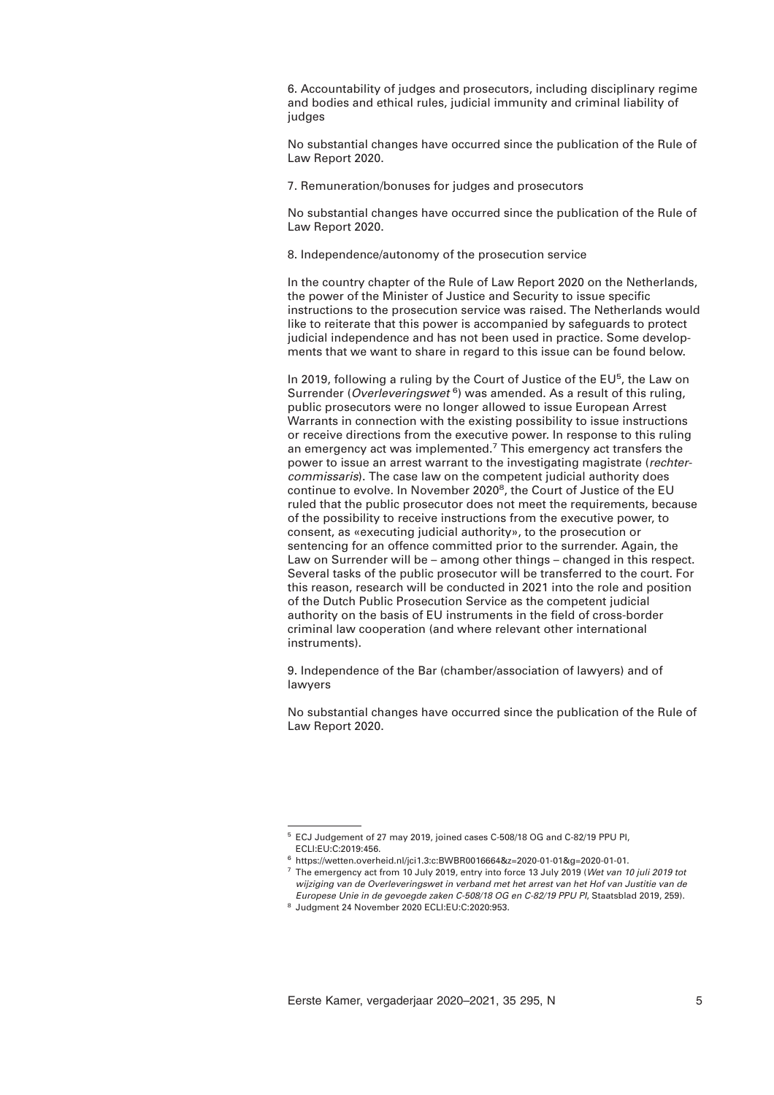6. Accountability of judges and prosecutors, including disciplinary regime and bodies and ethical rules, judicial immunity and criminal liability of judges

No substantial changes have occurred since the publication of the Rule of Law Report 2020.

7. Remuneration/bonuses for judges and prosecutors

No substantial changes have occurred since the publication of the Rule of Law Report 2020.

8. Independence/autonomy of the prosecution service

In the country chapter of the Rule of Law Report 2020 on the Netherlands, the power of the Minister of Justice and Security to issue specific instructions to the prosecution service was raised. The Netherlands would like to reiterate that this power is accompanied by safeguards to protect judicial independence and has not been used in practice. Some developments that we want to share in regard to this issue can be found below.

In 2019, following a ruling by the Court of Justice of the EU<sup>5</sup>, the Law on Surrender (*Overleveringswet* <sup>6</sup> ) was amended. As a result of this ruling, public prosecutors were no longer allowed to issue European Arrest Warrants in connection with the existing possibility to issue instructions or receive directions from the executive power. In response to this ruling an emergency act was implemented.<sup>7</sup> This emergency act transfers the power to issue an arrest warrant to the investigating magistrate (*rechtercommissaris*). The case law on the competent judicial authority does continue to evolve. In November 2020<sup>8</sup>, the Court of Justice of the EU ruled that the public prosecutor does not meet the requirements, because of the possibility to receive instructions from the executive power, to consent, as «executing judicial authority», to the prosecution or sentencing for an offence committed prior to the surrender. Again, the Law on Surrender will be – among other things – changed in this respect. Several tasks of the public prosecutor will be transferred to the court. For this reason, research will be conducted in 2021 into the role and position of the Dutch Public Prosecution Service as the competent judicial authority on the basis of EU instruments in the field of cross-border criminal law cooperation (and where relevant other international instruments).

9. Independence of the Bar (chamber/association of lawyers) and of lawyers

No substantial changes have occurred since the publication of the Rule of Law Report 2020.

<sup>5</sup> ECJ Judgement of 27 may 2019, joined cases C-508/18 OG and C-82/19 PPU PI, ECLI:EU:C:2019:456.

<sup>6</sup> https://wetten.overheid.nl/jci1.3:c:BWBR0016664&z=2020-01-01&g=2020-01-01.

<sup>7</sup> The emergency act from 10 July 2019, entry into force 13 July 2019 (*Wet van 10 juli 2019 tot wijziging van de Overleveringswet in verband met het arrest van het Hof van Justitie van de Europese Unie in de gevoegde zaken C-508/18 OG en C-82/19 PPU PI*, Staatsblad 2019, 259).

<sup>8</sup> Judgment 24 November 2020 ECLI:EU:C:2020:953.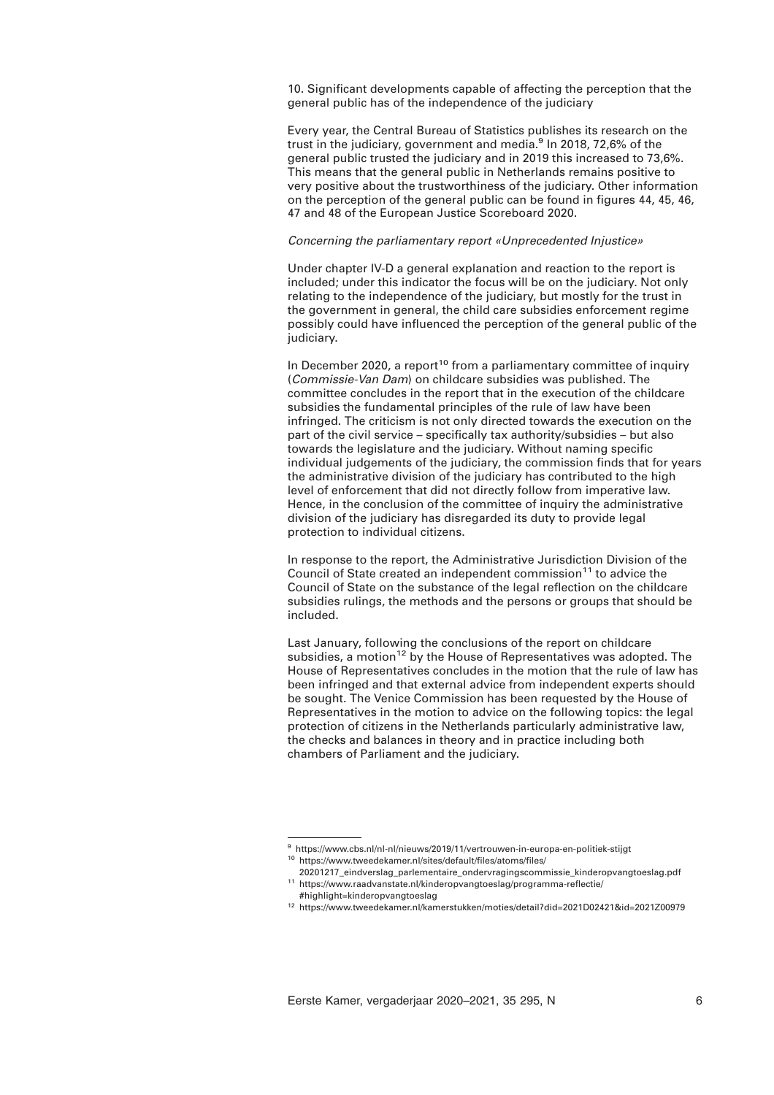10. Significant developments capable of affecting the perception that the general public has of the independence of the judiciary

Every year, the Central Bureau of Statistics publishes its research on the trust in the judiciary, government and media.<sup>9</sup> In 2018, 72,6% of the general public trusted the judiciary and in 2019 this increased to 73,6%. This means that the general public in Netherlands remains positive to very positive about the trustworthiness of the judiciary. Other information on the perception of the general public can be found in figures 44, 45, 46, 47 and 48 of the European Justice Scoreboard 2020.

# *Concerning the parliamentary report «Unprecedented Injustice»*

Under chapter IV-D a general explanation and reaction to the report is included; under this indicator the focus will be on the judiciary. Not only relating to the independence of the judiciary, but mostly for the trust in the government in general, the child care subsidies enforcement regime possibly could have influenced the perception of the general public of the judiciary.

In December 2020, a report<sup>10</sup> from a parliamentary committee of inquiry (*Commissie-Van Dam*) on childcare subsidies was published. The committee concludes in the report that in the execution of the childcare subsidies the fundamental principles of the rule of law have been infringed. The criticism is not only directed towards the execution on the part of the civil service – specifically tax authority/subsidies – but also towards the legislature and the judiciary. Without naming specific individual judgements of the judiciary, the commission finds that for years the administrative division of the judiciary has contributed to the high level of enforcement that did not directly follow from imperative law. Hence, in the conclusion of the committee of inquiry the administrative division of the judiciary has disregarded its duty to provide legal protection to individual citizens.

In response to the report, the Administrative Jurisdiction Division of the Council of State created an independent commission<sup>11</sup> to advice the Council of State on the substance of the legal reflection on the childcare subsidies rulings, the methods and the persons or groups that should be included.

Last January, following the conclusions of the report on childcare subsidies, a motion<sup>12</sup> by the House of Representatives was adopted. The House of Representatives concludes in the motion that the rule of law has been infringed and that external advice from independent experts should be sought. The Venice Commission has been requested by the House of Representatives in the motion to advice on the following topics: the legal protection of citizens in the Netherlands particularly administrative law, the checks and balances in theory and in practice including both chambers of Parliament and the judiciary.

<sup>9</sup> https://www.cbs.nl/nl-nl/nieuws/2019/11/vertrouwen-in-europa-en-politiek-stijgt <sup>10</sup> https://www.tweedekamer.nl/sites/default/files/atoms/files/

<sup>20201217</sup>\_eindverslag\_parlementaire\_ondervragingscommissie\_kinderopvangtoeslag.pdf <sup>11</sup> https://www.raadvanstate.nl/kinderopvangtoeslag/programma-reflectie/

<sup>#</sup>highlight=kinderopvangtoeslag

<sup>12</sup> https://www.tweedekamer.nl/kamerstukken/moties/detail?did=2021D02421&id=2021Z00979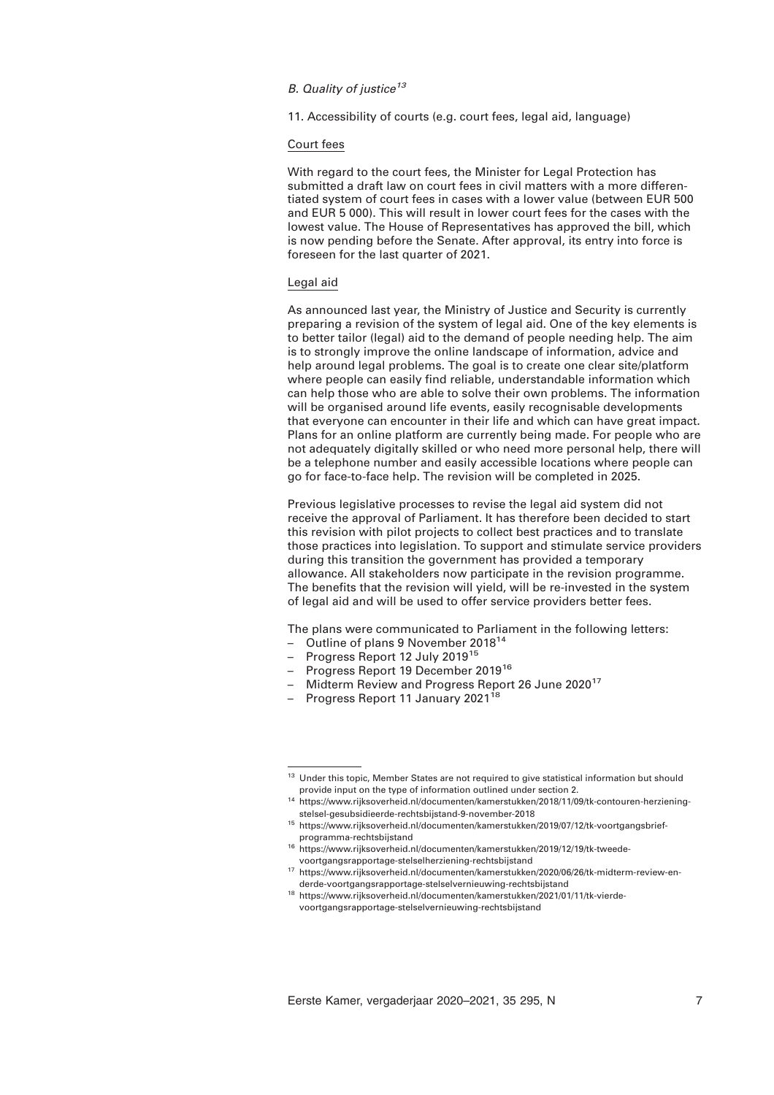# *B. Quality of justice<sup>13</sup>*

11. Accessibility of courts (e.g. court fees, legal aid, language)

## Court fees

With regard to the court fees, the Minister for Legal Protection has submitted a draft law on court fees in civil matters with a more differentiated system of court fees in cases with a lower value (between EUR 500 and EUR 5 000). This will result in lower court fees for the cases with the lowest value. The House of Representatives has approved the bill, which is now pending before the Senate. After approval, its entry into force is foreseen for the last quarter of 2021.

## Legal aid

As announced last year, the Ministry of Justice and Security is currently preparing a revision of the system of legal aid. One of the key elements is to better tailor (legal) aid to the demand of people needing help. The aim is to strongly improve the online landscape of information, advice and help around legal problems. The goal is to create one clear site/platform where people can easily find reliable, understandable information which can help those who are able to solve their own problems. The information will be organised around life events, easily recognisable developments that everyone can encounter in their life and which can have great impact. Plans for an online platform are currently being made. For people who are not adequately digitally skilled or who need more personal help, there will be a telephone number and easily accessible locations where people can go for face-to-face help. The revision will be completed in 2025.

Previous legislative processes to revise the legal aid system did not receive the approval of Parliament. It has therefore been decided to start this revision with pilot projects to collect best practices and to translate those practices into legislation. To support and stimulate service providers during this transition the government has provided a temporary allowance. All stakeholders now participate in the revision programme. The benefits that the revision will yield, will be re-invested in the system of legal aid and will be used to offer service providers better fees.

The plans were communicated to Parliament in the following letters:

- Outline of plans 9 November 2018<sup>14</sup>
- Progress Report 12 July 2019<sup>15</sup>
- Progress Report 19 December 2019<sup>16</sup>
- Midterm Review and Progress Report 26 June 2020<sup>17</sup>
- Progress Report 11 January 2021<sup>18</sup>

<sup>&</sup>lt;sup>13</sup> Under this topic, Member States are not required to give statistical information but should provide input on the type of information outlined under section 2.

<sup>14</sup> https://www.rijksoverheid.nl/documenten/kamerstukken/2018/11/09/tk-contouren-herzieningstelsel-gesubsidieerde-rechtsbijstand-9-november-2018

<sup>15</sup> https://www.rijksoverheid.nl/documenten/kamerstukken/2019/07/12/tk-voortgangsbriefprogramma-rechtsbijstand

<sup>16</sup> https://www.rijksoverheid.nl/documenten/kamerstukken/2019/12/19/tk-tweedevoortgangsrapportage-stelselherziening-rechtsbijstand

<sup>17</sup> https://www.rijksoverheid.nl/documenten/kamerstukken/2020/06/26/tk-midterm-review-enderde-voortgangsrapportage-stelselvernieuwing-rechtsbijstand

<sup>18</sup> https://www.rijksoverheid.nl/documenten/kamerstukken/2021/01/11/tk-vierdevoortgangsrapportage-stelselvernieuwing-rechtsbijstand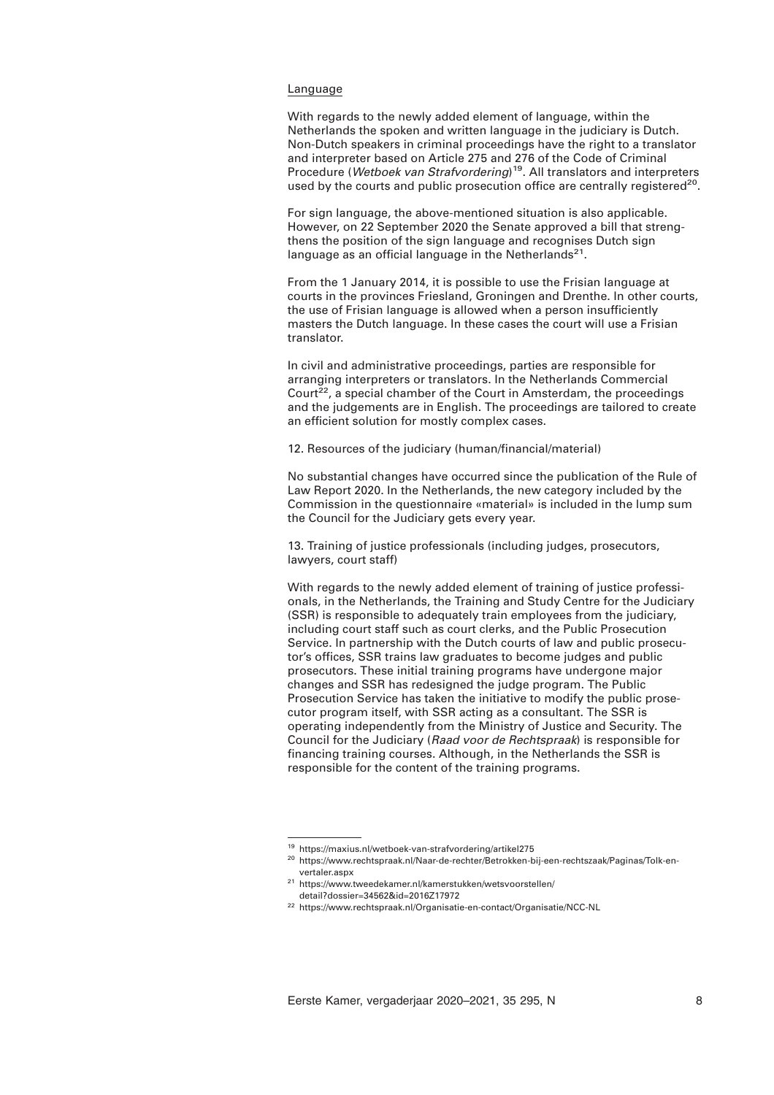## Language

With regards to the newly added element of language, within the Netherlands the spoken and written language in the judiciary is Dutch. Non-Dutch speakers in criminal proceedings have the right to a translator and interpreter based on Article 275 and 276 of the Code of Criminal Procedure (*Wetboek van Strafvordering*) 19. All translators and interpreters used by the courts and public prosecution office are centrally registered<sup>20</sup>.

For sign language, the above-mentioned situation is also applicable. However, on 22 September 2020 the Senate approved a bill that strengthens the position of the sign language and recognises Dutch sign language as an official language in the Netherlands<sup>21</sup>.

From the 1 January 2014, it is possible to use the Frisian language at courts in the provinces Friesland, Groningen and Drenthe. In other courts, the use of Frisian language is allowed when a person insufficiently masters the Dutch language. In these cases the court will use a Frisian translator.

In civil and administrative proceedings, parties are responsible for arranging interpreters or translators. In the Netherlands Commercial Court<sup>22</sup>, a special chamber of the Court in Amsterdam, the proceedings and the judgements are in English. The proceedings are tailored to create an efficient solution for mostly complex cases.

12. Resources of the judiciary (human/financial/material)

No substantial changes have occurred since the publication of the Rule of Law Report 2020. In the Netherlands, the new category included by the Commission in the questionnaire «material» is included in the lump sum the Council for the Judiciary gets every year.

13. Training of justice professionals (including judges, prosecutors, lawyers, court staff)

With regards to the newly added element of training of justice professionals, in the Netherlands, the Training and Study Centre for the Judiciary (SSR) is responsible to adequately train employees from the judiciary, including court staff such as court clerks, and the Public Prosecution Service. In partnership with the Dutch courts of law and public prosecutor's offices, SSR trains law graduates to become judges and public prosecutors. These initial training programs have undergone major changes and SSR has redesigned the judge program. The Public Prosecution Service has taken the initiative to modify the public prosecutor program itself, with SSR acting as a consultant. The SSR is operating independently from the Ministry of Justice and Security. The Council for the Judiciary (*Raad voor de Rechtspraak*) is responsible for financing training courses. Although, in the Netherlands the SSR is responsible for the content of the training programs.

<sup>19</sup> https://maxius.nl/wetboek-van-strafvordering/artikel275

<sup>20</sup> https://www.rechtspraak.nl/Naar-de-rechter/Betrokken-bij-een-rechtszaak/Paginas/Tolk-envertaler.aspx

<sup>21</sup> https://www.tweedekamer.nl/kamerstukken/wetsvoorstellen/ detail?dossier=34562&id=2016Z17972

<sup>22</sup> https://www.rechtspraak.nl/Organisatie-en-contact/Organisatie/NCC-NL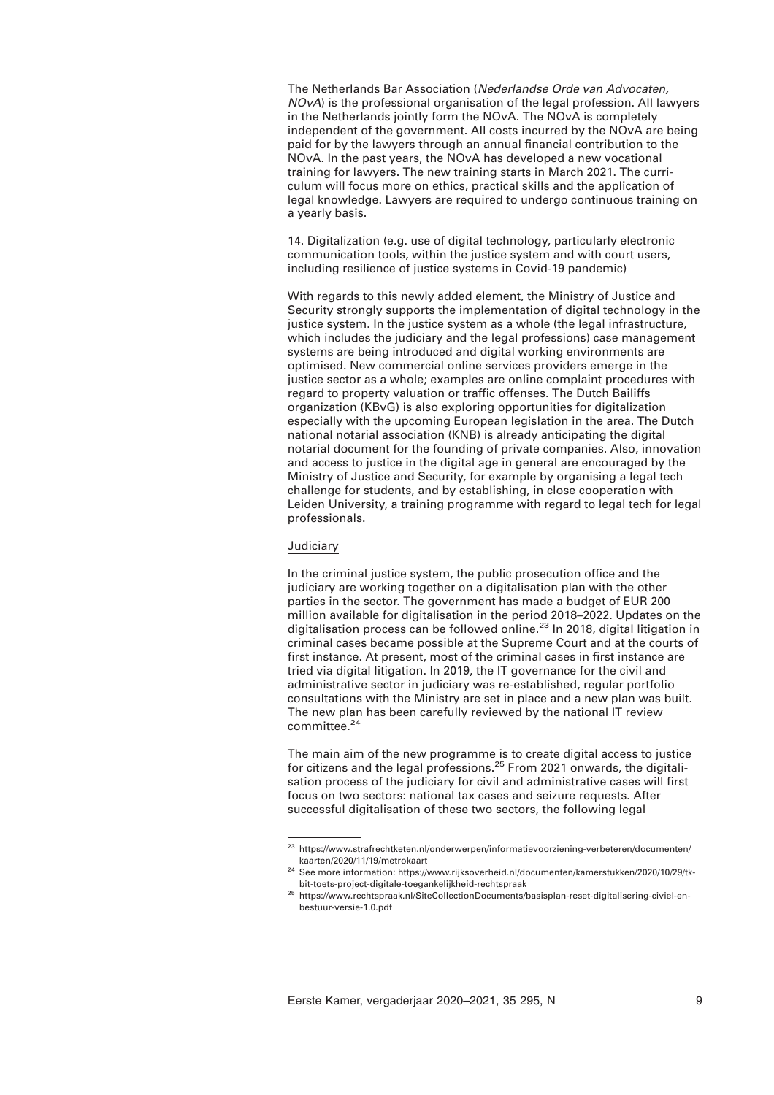The Netherlands Bar Association (*Nederlandse Orde van Advocaten, NOvA*) is the professional organisation of the legal profession. All lawyers in the Netherlands jointly form the NOvA. The NOvA is completely independent of the government. All costs incurred by the NOvA are being paid for by the lawyers through an annual financial contribution to the NOvA. In the past years, the NOvA has developed a new vocational training for lawyers. The new training starts in March 2021. The curriculum will focus more on ethics, practical skills and the application of legal knowledge. Lawyers are required to undergo continuous training on a yearly basis.

14. Digitalization (e.g. use of digital technology, particularly electronic communication tools, within the justice system and with court users, including resilience of justice systems in Covid-19 pandemic)

With regards to this newly added element, the Ministry of Justice and Security strongly supports the implementation of digital technology in the justice system. In the justice system as a whole (the legal infrastructure, which includes the judiciary and the legal professions) case management systems are being introduced and digital working environments are optimised. New commercial online services providers emerge in the justice sector as a whole; examples are online complaint procedures with regard to property valuation or traffic offenses. The Dutch Bailiffs organization (KBvG) is also exploring opportunities for digitalization especially with the upcoming European legislation in the area. The Dutch national notarial association (KNB) is already anticipating the digital notarial document for the founding of private companies. Also, innovation and access to justice in the digital age in general are encouraged by the Ministry of Justice and Security, for example by organising a legal tech challenge for students, and by establishing, in close cooperation with Leiden University, a training programme with regard to legal tech for legal professionals.

# Judiciary

In the criminal justice system, the public prosecution office and the judiciary are working together on a digitalisation plan with the other parties in the sector. The government has made a budget of EUR 200 million available for digitalisation in the period 2018–2022. Updates on the digitalisation process can be followed online.<sup>23</sup> In 2018, digital litigation in criminal cases became possible at the Supreme Court and at the courts of first instance. At present, most of the criminal cases in first instance are tried via digital litigation. In 2019, the IT governance for the civil and administrative sector in judiciary was re-established, regular portfolio consultations with the Ministry are set in place and a new plan was built. The new plan has been carefully reviewed by the national IT review committee.<sup>24</sup>

The main aim of the new programme is to create digital access to justice for citizens and the legal professions.<sup>25</sup> From 2021 onwards, the digitalisation process of the judiciary for civil and administrative cases will first focus on two sectors: national tax cases and seizure requests. After successful digitalisation of these two sectors, the following legal

<sup>23</sup> https://www.strafrechtketen.nl/onderwerpen/informatievoorziening-verbeteren/documenten/ kaarten/2020/11/19/metrokaart

<sup>&</sup>lt;sup>24</sup> See more information: https://www.rijksoverheid.nl/documenten/kamerstukken/2020/10/29/tkbit-toets-project-digitale-toegankelijkheid-rechtspraak

<sup>25</sup> https://www.rechtspraak.nl/SiteCollectionDocuments/basisplan-reset-digitalisering-civiel-enbestuur-versie-1.0.pdf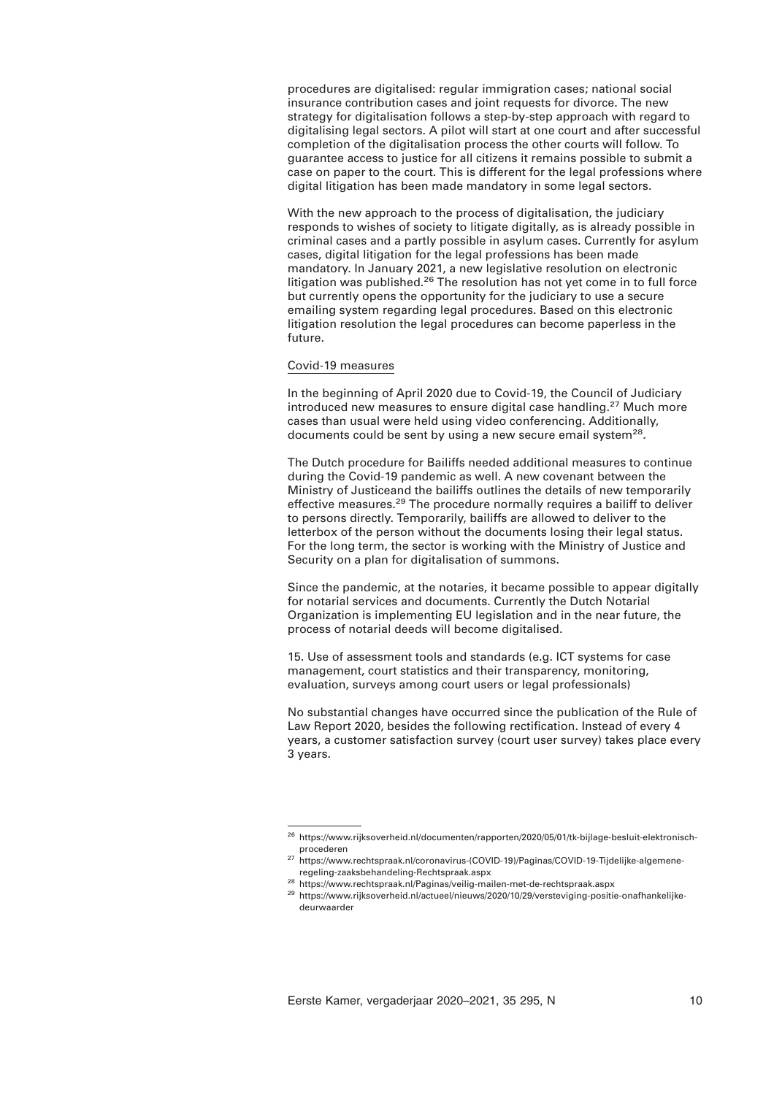procedures are digitalised: regular immigration cases; national social insurance contribution cases and joint requests for divorce. The new strategy for digitalisation follows a step-by-step approach with regard to digitalising legal sectors. A pilot will start at one court and after successful completion of the digitalisation process the other courts will follow. To guarantee access to justice for all citizens it remains possible to submit a case on paper to the court. This is different for the legal professions where digital litigation has been made mandatory in some legal sectors.

With the new approach to the process of digitalisation, the judiciary responds to wishes of society to litigate digitally, as is already possible in criminal cases and a partly possible in asylum cases. Currently for asylum cases, digital litigation for the legal professions has been made mandatory. In January 2021, a new legislative resolution on electronic litigation was published. $26$  The resolution has not yet come in to full force but currently opens the opportunity for the judiciary to use a secure emailing system regarding legal procedures. Based on this electronic litigation resolution the legal procedures can become paperless in the future.

## Covid-19 measures

In the beginning of April 2020 due to Covid-19, the Council of Judiciary introduced new measures to ensure digital case handling.<sup>27</sup> Much more cases than usual were held using video conferencing. Additionally, documents could be sent by using a new secure email system<sup>28</sup>.

The Dutch procedure for Bailiffs needed additional measures to continue during the Covid-19 pandemic as well. A new covenant between the Ministry of Justiceand the bailiffs outlines the details of new temporarily effective measures.<sup>29</sup> The procedure normally requires a bailiff to deliver to persons directly. Temporarily, bailiffs are allowed to deliver to the letterbox of the person without the documents losing their legal status. For the long term, the sector is working with the Ministry of Justice and Security on a plan for digitalisation of summons.

Since the pandemic, at the notaries, it became possible to appear digitally for notarial services and documents. Currently the Dutch Notarial Organization is implementing EU legislation and in the near future, the process of notarial deeds will become digitalised.

15. Use of assessment tools and standards (e.g. ICT systems for case management, court statistics and their transparency, monitoring, evaluation, surveys among court users or legal professionals)

No substantial changes have occurred since the publication of the Rule of Law Report 2020, besides the following rectification. Instead of every 4 years, a customer satisfaction survey (court user survey) takes place every 3 years.

<sup>26</sup> https://www.rijksoverheid.nl/documenten/rapporten/2020/05/01/tk-bijlage-besluit-elektronischprocederen

<sup>27</sup> https://www.rechtspraak.nl/coronavirus-(COVID-19)/Paginas/COVID-19-Tijdelijke-algemeneregeling-zaaksbehandeling-Rechtspraak.aspx

<sup>28</sup> https://www.rechtspraak.nl/Paginas/veilig-mailen-met-de-rechtspraak.aspx

<sup>&</sup>lt;sup>29</sup> https://www.rijksoverheid.nl/actueel/nieuws/2020/10/29/versteviging-positie-onafhankelijkedeurwaarder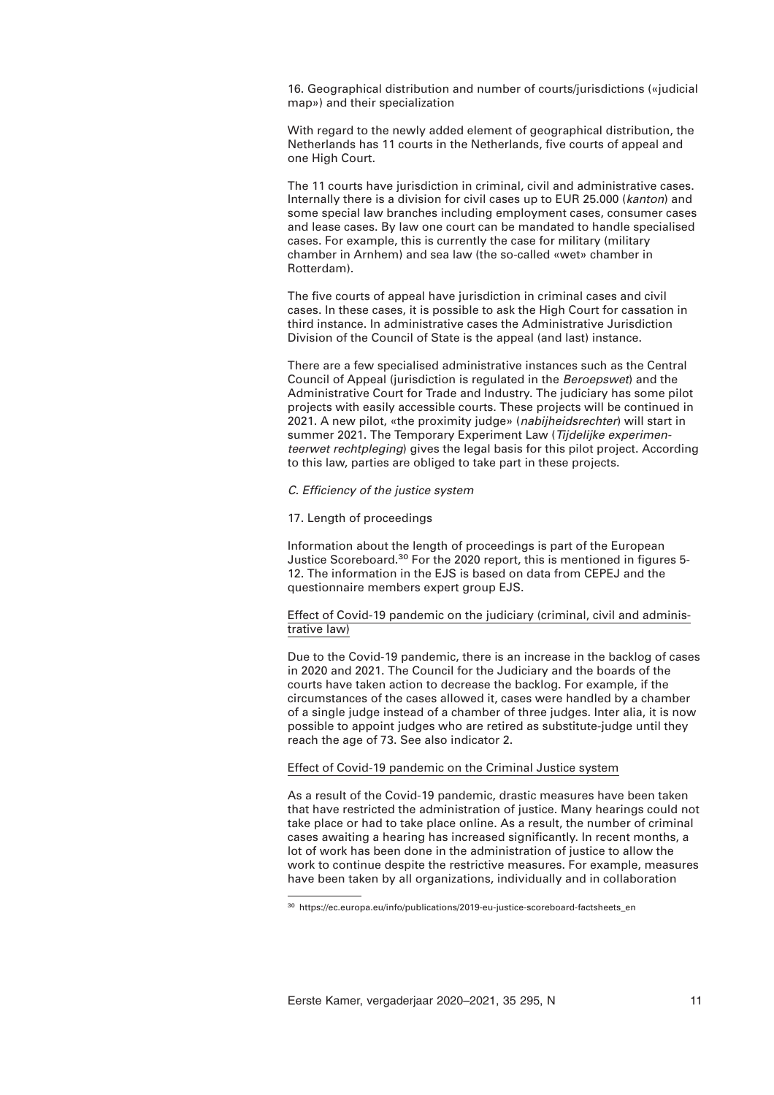16. Geographical distribution and number of courts/jurisdictions («judicial map») and their specialization

With regard to the newly added element of geographical distribution, the Netherlands has 11 courts in the Netherlands, five courts of appeal and one High Court.

The 11 courts have jurisdiction in criminal, civil and administrative cases. Internally there is a division for civil cases up to EUR 25.000 (*kanton*) and some special law branches including employment cases, consumer cases and lease cases. By law one court can be mandated to handle specialised cases. For example, this is currently the case for military (military chamber in Arnhem) and sea law (the so-called «wet» chamber in Rotterdam).

The five courts of appeal have jurisdiction in criminal cases and civil cases. In these cases, it is possible to ask the High Court for cassation in third instance. In administrative cases the Administrative Jurisdiction Division of the Council of State is the appeal (and last) instance.

There are a few specialised administrative instances such as the Central Council of Appeal (jurisdiction is regulated in the *Beroepswet*) and the Administrative Court for Trade and Industry. The judiciary has some pilot projects with easily accessible courts. These projects will be continued in 2021. A new pilot, «the proximity judge» (*nabijheidsrechter*) will start in summer 2021. The Temporary Experiment Law (*Tijdelijke experimenteerwet rechtpleging*) gives the legal basis for this pilot project. According to this law, parties are obliged to take part in these projects.

## *C. Efficiency of the justice system*

# 17. Length of proceedings

Information about the length of proceedings is part of the European Justice Scoreboard.<sup>30</sup> For the 2020 report, this is mentioned in figures 5-12. The information in the EJS is based on data from CEPEJ and the questionnaire members expert group EJS.

# Effect of Covid-19 pandemic on the judiciary (criminal, civil and administrative law)

Due to the Covid-19 pandemic, there is an increase in the backlog of cases in 2020 and 2021. The Council for the Judiciary and the boards of the courts have taken action to decrease the backlog. For example, if the circumstances of the cases allowed it, cases were handled by a chamber of a single judge instead of a chamber of three judges. Inter alia, it is now possible to appoint judges who are retired as substitute-judge until they reach the age of 73. See also indicator 2.

# Effect of Covid-19 pandemic on the Criminal Justice system

As a result of the Covid-19 pandemic, drastic measures have been taken that have restricted the administration of justice. Many hearings could not take place or had to take place online. As a result, the number of criminal cases awaiting a hearing has increased significantly. In recent months, a lot of work has been done in the administration of justice to allow the work to continue despite the restrictive measures. For example, measures have been taken by all organizations, individually and in collaboration

<sup>&</sup>lt;sup>30</sup> https://ec.europa.eu/info/publications/2019-eu-justice-scoreboard-factsheets\_en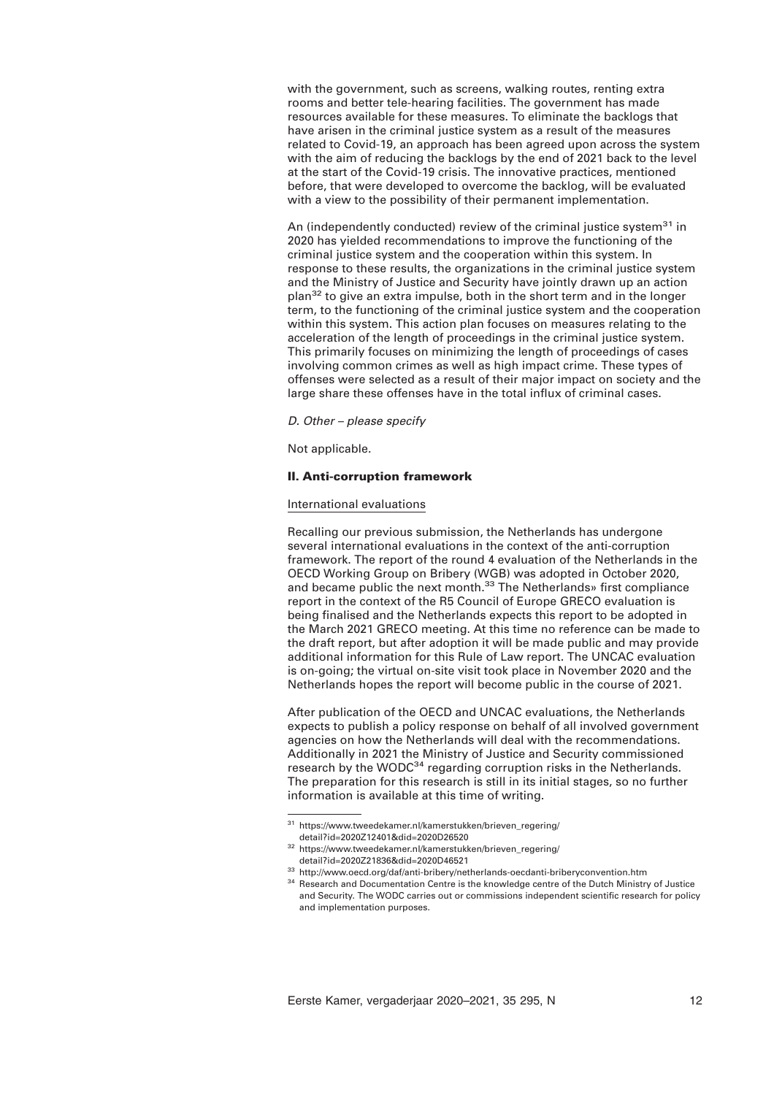with the government, such as screens, walking routes, renting extra rooms and better tele-hearing facilities. The government has made resources available for these measures. To eliminate the backlogs that have arisen in the criminal justice system as a result of the measures related to Covid-19, an approach has been agreed upon across the system with the aim of reducing the backlogs by the end of 2021 back to the level at the start of the Covid-19 crisis. The innovative practices, mentioned before, that were developed to overcome the backlog, will be evaluated with a view to the possibility of their permanent implementation.

An (independently conducted) review of the criminal justice system<sup>31</sup> in 2020 has yielded recommendations to improve the functioning of the criminal justice system and the cooperation within this system. In response to these results, the organizations in the criminal justice system and the Ministry of Justice and Security have jointly drawn up an action plan<sup>32</sup> to give an extra impulse, both in the short term and in the longer term, to the functioning of the criminal justice system and the cooperation within this system. This action plan focuses on measures relating to the acceleration of the length of proceedings in the criminal justice system. This primarily focuses on minimizing the length of proceedings of cases involving common crimes as well as high impact crime. These types of offenses were selected as a result of their major impact on society and the large share these offenses have in the total influx of criminal cases.

*D. Other – please specify* 

Not applicable.

## **II. Anti-corruption framework**

## International evaluations

Recalling our previous submission, the Netherlands has undergone several international evaluations in the context of the anti-corruption framework. The report of the round 4 evaluation of the Netherlands in the OECD Working Group on Bribery (WGB) was adopted in October 2020, and became public the next month.<sup>33</sup> The Netherlands» first compliance report in the context of the R5 Council of Europe GRECO evaluation is being finalised and the Netherlands expects this report to be adopted in the March 2021 GRECO meeting. At this time no reference can be made to the draft report, but after adoption it will be made public and may provide additional information for this Rule of Law report. The UNCAC evaluation is on-going; the virtual on-site visit took place in November 2020 and the Netherlands hopes the report will become public in the course of 2021.

After publication of the OECD and UNCAC evaluations, the Netherlands expects to publish a policy response on behalf of all involved government agencies on how the Netherlands will deal with the recommendations. Additionally in 2021 the Ministry of Justice and Security commissioned research by the WODC<sup>34</sup> regarding corruption risks in the Netherlands. The preparation for this research is still in its initial stages, so no further information is available at this time of writing.

<sup>31</sup> https://www.tweedekamer.nl/kamerstukken/brieven\_regering/ detail?id=2020Z12401&did=2020D26520

<sup>32</sup> https://www.tweedekamer.nl/kamerstukken/brieven\_regering/ detail?id=2020Z21836&did=2020D46521

<sup>33</sup> http://www.oecd.org/daf/anti-bribery/netherlands-oecdanti-briberyconvention.htm

<sup>&</sup>lt;sup>34</sup> Research and Documentation Centre is the knowledge centre of the Dutch Ministry of Justice and Security. The WODC carries out or commissions independent scientific research for policy and implementation purposes.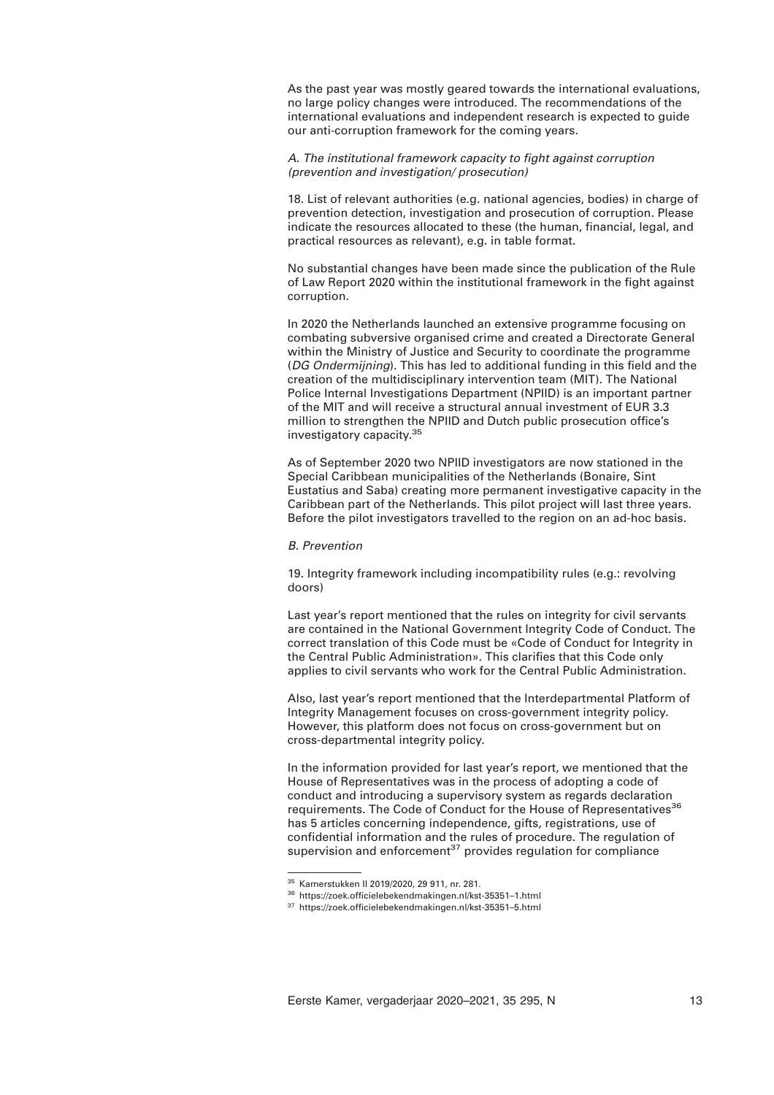As the past year was mostly geared towards the international evaluations, no large policy changes were introduced. The recommendations of the international evaluations and independent research is expected to guide our anti-corruption framework for the coming years.

*A. The institutional framework capacity to fight against corruption (prevention and investigation/ prosecution)* 

18. List of relevant authorities (e.g. national agencies, bodies) in charge of prevention detection, investigation and prosecution of corruption. Please indicate the resources allocated to these (the human, financial, legal, and practical resources as relevant), e.g. in table format.

No substantial changes have been made since the publication of the Rule of Law Report 2020 within the institutional framework in the fight against corruption.

In 2020 the Netherlands launched an extensive programme focusing on combating subversive organised crime and created a Directorate General within the Ministry of Justice and Security to coordinate the programme (*DG Ondermijning*). This has led to additional funding in this field and the creation of the multidisciplinary intervention team (MIT). The National Police Internal Investigations Department (NPIID) is an important partner of the MIT and will receive a structural annual investment of EUR 3.3 million to strengthen the NPIID and Dutch public prosecution office's investigatory capacity.<sup>35</sup>

As of September 2020 two NPIID investigators are now stationed in the Special Caribbean municipalities of the Netherlands (Bonaire, Sint Eustatius and Saba) creating more permanent investigative capacity in the Caribbean part of the Netherlands. This pilot project will last three years. Before the pilot investigators travelled to the region on an ad-hoc basis.

## *B. Prevention*

19. Integrity framework including incompatibility rules (e.g.: revolving doors)

Last year's report mentioned that the rules on integrity for civil servants are contained in the National Government Integrity Code of Conduct. The correct translation of this Code must be «Code of Conduct for Integrity in the Central Public Administration». This clarifies that this Code only applies to civil servants who work for the Central Public Administration.

Also, last year's report mentioned that the Interdepartmental Platform of Integrity Management focuses on cross-government integrity policy. However, this platform does not focus on cross-government but on cross-departmental integrity policy.

In the information provided for last year's report, we mentioned that the House of Representatives was in the process of adopting a code of conduct and introducing a supervisory system as regards declaration requirements. The Code of Conduct for the House of Representatives<sup>36</sup> has 5 articles concerning independence, gifts, registrations, use of confidential information and the rules of procedure. The regulation of supervision and enforcement<sup>37</sup> provides regulation for compliance

<sup>35</sup> Kamerstukken II 2019/2020, 29 911, nr. 281.

<sup>36</sup> https://zoek.officielebekendmakingen.nl/kst-35351–1.html

<sup>37</sup> https://zoek.officielebekendmakingen.nl/kst-35351–5.html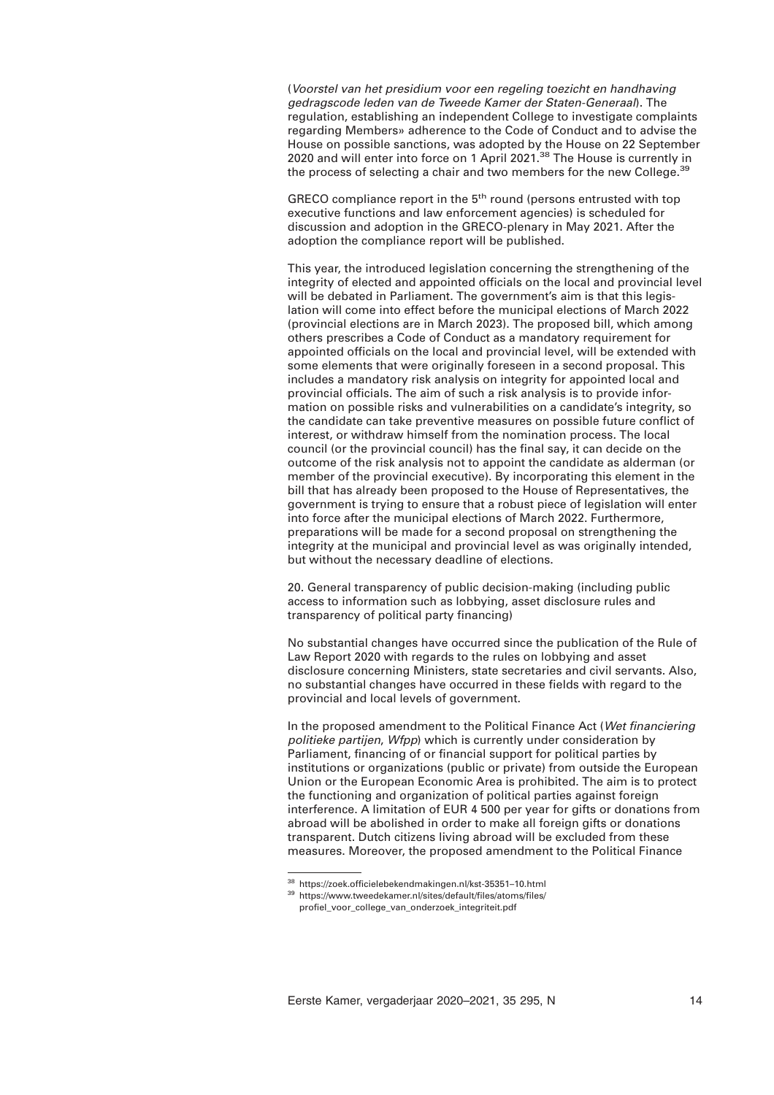(*Voorstel van het presidium voor een regeling toezicht en handhaving gedragscode leden van de Tweede Kamer der Staten-Generaal*). The regulation, establishing an independent College to investigate complaints regarding Members» adherence to the Code of Conduct and to advise the House on possible sanctions, was adopted by the House on 22 September 2020 and will enter into force on 1 April 2021.<sup>38</sup> The House is currently in the process of selecting a chair and two members for the new College.<sup>39</sup>

GRECO compliance report in the  $5<sup>th</sup>$  round (persons entrusted with top executive functions and law enforcement agencies) is scheduled for discussion and adoption in the GRECO-plenary in May 2021. After the adoption the compliance report will be published.

This year, the introduced legislation concerning the strengthening of the integrity of elected and appointed officials on the local and provincial level will be debated in Parliament. The government's aim is that this legislation will come into effect before the municipal elections of March 2022 (provincial elections are in March 2023). The proposed bill, which among others prescribes a Code of Conduct as a mandatory requirement for appointed officials on the local and provincial level, will be extended with some elements that were originally foreseen in a second proposal. This includes a mandatory risk analysis on integrity for appointed local and provincial officials. The aim of such a risk analysis is to provide information on possible risks and vulnerabilities on a candidate's integrity, so the candidate can take preventive measures on possible future conflict of interest, or withdraw himself from the nomination process. The local council (or the provincial council) has the final say, it can decide on the outcome of the risk analysis not to appoint the candidate as alderman (or member of the provincial executive). By incorporating this element in the bill that has already been proposed to the House of Representatives, the government is trying to ensure that a robust piece of legislation will enter into force after the municipal elections of March 2022. Furthermore, preparations will be made for a second proposal on strengthening the integrity at the municipal and provincial level as was originally intended, but without the necessary deadline of elections.

20. General transparency of public decision-making (including public access to information such as lobbying, asset disclosure rules and transparency of political party financing)

No substantial changes have occurred since the publication of the Rule of Law Report 2020 with regards to the rules on lobbying and asset disclosure concerning Ministers, state secretaries and civil servants. Also, no substantial changes have occurred in these fields with regard to the provincial and local levels of government.

In the proposed amendment to the Political Finance Act (*Wet financiering politieke partijen*, *Wfpp*) which is currently under consideration by Parliament, financing of or financial support for political parties by institutions or organizations (public or private) from outside the European Union or the European Economic Area is prohibited. The aim is to protect the functioning and organization of political parties against foreign interference. A limitation of EUR 4 500 per year for gifts or donations from abroad will be abolished in order to make all foreign gifts or donations transparent. Dutch citizens living abroad will be excluded from these measures. Moreover, the proposed amendment to the Political Finance

<sup>38</sup> https://zoek.officielebekendmakingen.nl/kst-35351–10.html

<sup>39</sup> https://www.tweedekamer.nl/sites/default/files/atoms/files/

profiel\_voor\_college\_van\_onderzoek\_integriteit.pdf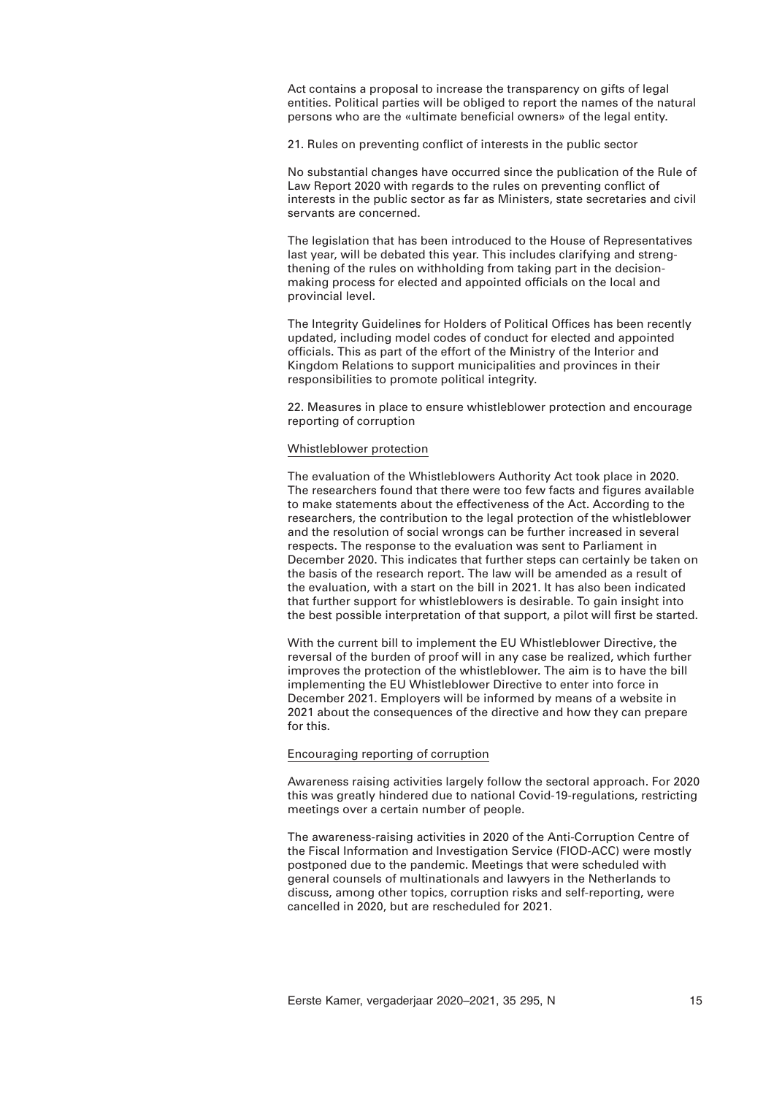Act contains a proposal to increase the transparency on gifts of legal entities. Political parties will be obliged to report the names of the natural persons who are the «ultimate beneficial owners» of the legal entity.

21. Rules on preventing conflict of interests in the public sector

No substantial changes have occurred since the publication of the Rule of Law Report 2020 with regards to the rules on preventing conflict of interests in the public sector as far as Ministers, state secretaries and civil servants are concerned.

The legislation that has been introduced to the House of Representatives last year, will be debated this year. This includes clarifying and strengthening of the rules on withholding from taking part in the decisionmaking process for elected and appointed officials on the local and provincial level.

The Integrity Guidelines for Holders of Political Offices has been recently updated, including model codes of conduct for elected and appointed officials. This as part of the effort of the Ministry of the Interior and Kingdom Relations to support municipalities and provinces in their responsibilities to promote political integrity.

22. Measures in place to ensure whistleblower protection and encourage reporting of corruption

## Whistleblower protection

The evaluation of the Whistleblowers Authority Act took place in 2020. The researchers found that there were too few facts and figures available to make statements about the effectiveness of the Act. According to the researchers, the contribution to the legal protection of the whistleblower and the resolution of social wrongs can be further increased in several respects. The response to the evaluation was sent to Parliament in December 2020. This indicates that further steps can certainly be taken on the basis of the research report. The law will be amended as a result of the evaluation, with a start on the bill in 2021. It has also been indicated that further support for whistleblowers is desirable. To gain insight into the best possible interpretation of that support, a pilot will first be started.

With the current bill to implement the EU Whistleblower Directive, the reversal of the burden of proof will in any case be realized, which further improves the protection of the whistleblower. The aim is to have the bill implementing the EU Whistleblower Directive to enter into force in December 2021. Employers will be informed by means of a website in 2021 about the consequences of the directive and how they can prepare for this.

## Encouraging reporting of corruption

Awareness raising activities largely follow the sectoral approach. For 2020 this was greatly hindered due to national Covid-19-regulations, restricting meetings over a certain number of people.

The awareness-raising activities in 2020 of the Anti-Corruption Centre of the Fiscal Information and Investigation Service (FIOD-ACC) were mostly postponed due to the pandemic. Meetings that were scheduled with general counsels of multinationals and lawyers in the Netherlands to discuss, among other topics, corruption risks and self-reporting, were cancelled in 2020, but are rescheduled for 2021.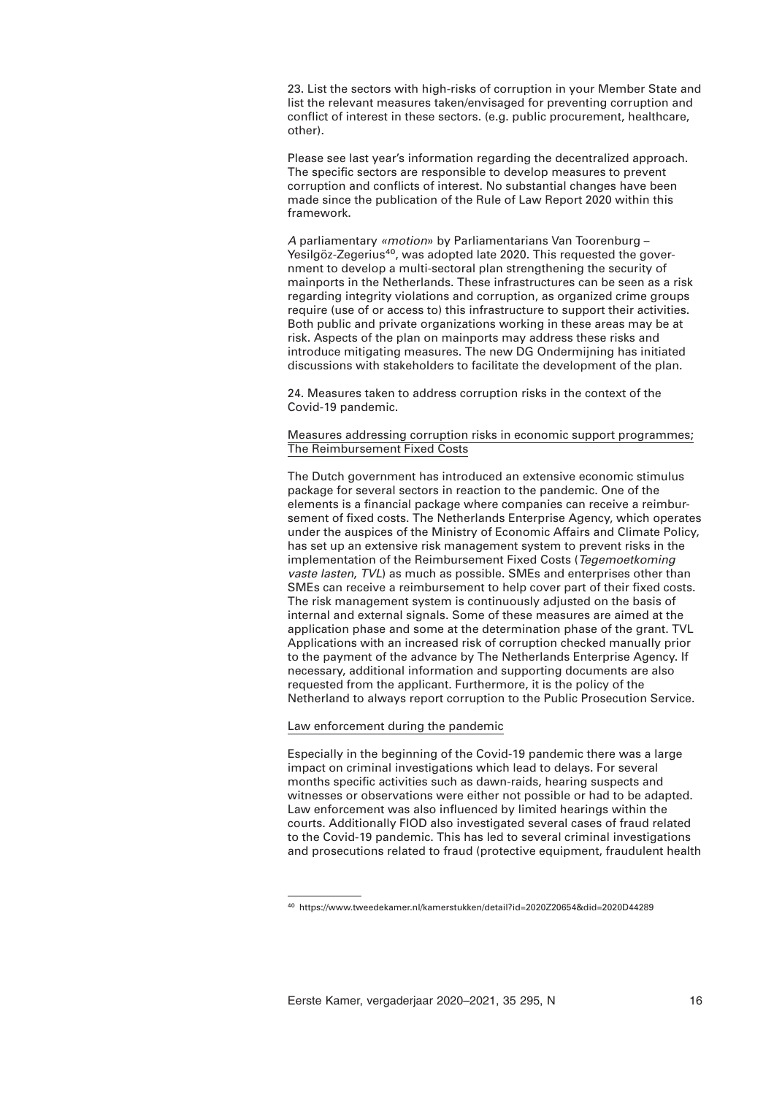23. List the sectors with high-risks of corruption in your Member State and list the relevant measures taken/envisaged for preventing corruption and conflict of interest in these sectors. (e.g. public procurement, healthcare, other).

Please see last year's information regarding the decentralized approach. The specific sectors are responsible to develop measures to prevent corruption and conflicts of interest. No substantial changes have been made since the publication of the Rule of Law Report 2020 within this framework.

*A* parliamentary *«motion*» by Parliamentarians Van Toorenburg – Yesilgöz-Zegerius<sup>40</sup>, was adopted late 2020. This requested the government to develop a multi-sectoral plan strengthening the security of mainports in the Netherlands. These infrastructures can be seen as a risk regarding integrity violations and corruption, as organized crime groups require (use of or access to) this infrastructure to support their activities. Both public and private organizations working in these areas may be at risk. Aspects of the plan on mainports may address these risks and introduce mitigating measures. The new DG Ondermijning has initiated discussions with stakeholders to facilitate the development of the plan.

24. Measures taken to address corruption risks in the context of the Covid-19 pandemic.

# Measures addressing corruption risks in economic support programmes; The Reimbursement Fixed Costs

The Dutch government has introduced an extensive economic stimulus package for several sectors in reaction to the pandemic. One of the elements is a financial package where companies can receive a reimbursement of fixed costs. The Netherlands Enterprise Agency, which operates under the auspices of the Ministry of Economic Affairs and Climate Policy, has set up an extensive risk management system to prevent risks in the implementation of the Reimbursement Fixed Costs (*Tegemoetkoming vaste lasten*, *TVL*) as much as possible. SMEs and enterprises other than SMEs can receive a reimbursement to help cover part of their fixed costs. The risk management system is continuously adjusted on the basis of internal and external signals. Some of these measures are aimed at the application phase and some at the determination phase of the grant. TVL Applications with an increased risk of corruption checked manually prior to the payment of the advance by The Netherlands Enterprise Agency. If necessary, additional information and supporting documents are also requested from the applicant. Furthermore, it is the policy of the Netherland to always report corruption to the Public Prosecution Service.

# Law enforcement during the pandemic

Especially in the beginning of the Covid-19 pandemic there was a large impact on criminal investigations which lead to delays. For several months specific activities such as dawn-raids, hearing suspects and witnesses or observations were either not possible or had to be adapted. Law enforcement was also influenced by limited hearings within the courts. Additionally FIOD also investigated several cases of fraud related to the Covid-19 pandemic. This has led to several criminal investigations and prosecutions related to fraud (protective equipment, fraudulent health

<sup>40</sup> https://www.tweedekamer.nl/kamerstukken/detail?id=2020Z20654&did=2020D44289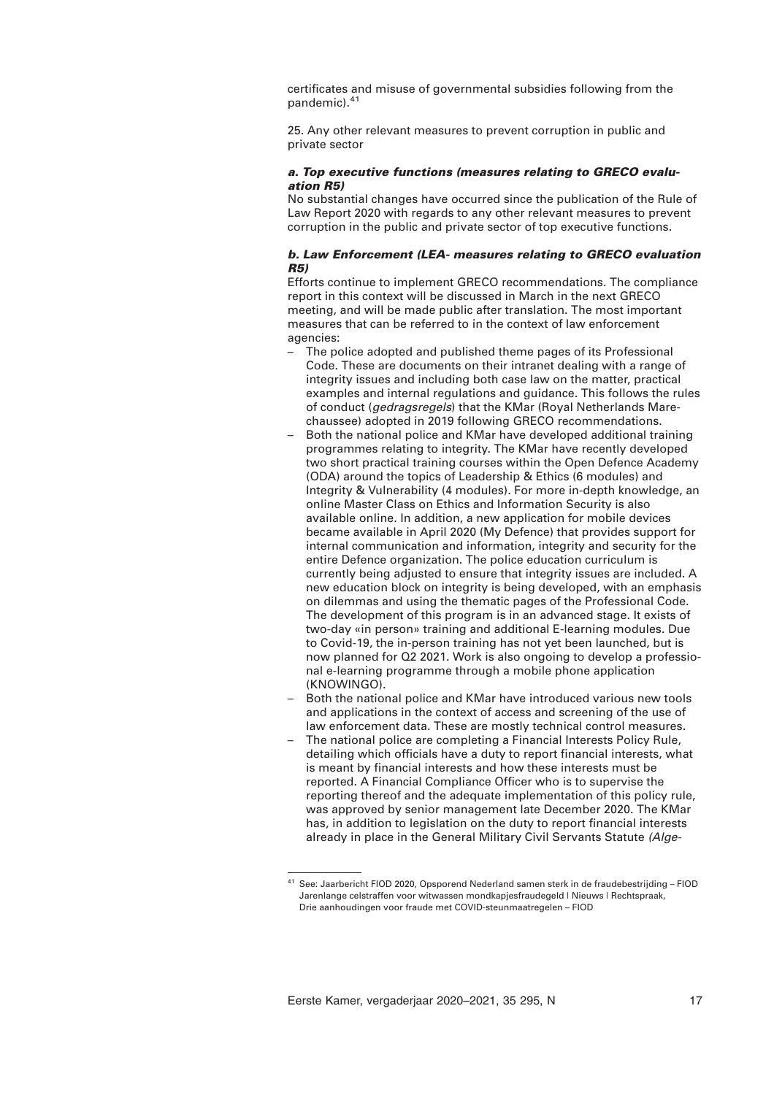certificates and misuse of governmental subsidies following from the pandemic).<sup>41</sup>

25. Any other relevant measures to prevent corruption in public and private sector

# *a. Top executive functions (measures relating to GRECO evaluation R5)*

No substantial changes have occurred since the publication of the Rule of Law Report 2020 with regards to any other relevant measures to prevent corruption in the public and private sector of top executive functions.

# *b. Law Enforcement (LEA- measures relating to GRECO evaluation R5)*

Efforts continue to implement GRECO recommendations. The compliance report in this context will be discussed in March in the next GRECO meeting, and will be made public after translation. The most important measures that can be referred to in the context of law enforcement agencies:

- The police adopted and published theme pages of its Professional Code. These are documents on their intranet dealing with a range of integrity issues and including both case law on the matter, practical examples and internal regulations and guidance. This follows the rules of conduct (*gedragsregels*) that the KMar (Royal Netherlands Marechaussee) adopted in 2019 following GRECO recommendations.
- Both the national police and KMar have developed additional training programmes relating to integrity. The KMar have recently developed two short practical training courses within the Open Defence Academy (ODA) around the topics of Leadership & Ethics (6 modules) and Integrity & Vulnerability (4 modules). For more in-depth knowledge, an online Master Class on Ethics and Information Security is also available online. In addition, a new application for mobile devices became available in April 2020 (My Defence) that provides support for internal communication and information, integrity and security for the entire Defence organization. The police education curriculum is currently being adjusted to ensure that integrity issues are included. A new education block on integrity is being developed, with an emphasis on dilemmas and using the thematic pages of the Professional Code. The development of this program is in an advanced stage. It exists of two-day «in person» training and additional E-learning modules. Due to Covid-19, the in-person training has not yet been launched, but is now planned for Q2 2021. Work is also ongoing to develop a professional e-learning programme through a mobile phone application (KNOWINGO).
- Both the national police and KMar have introduced various new tools and applications in the context of access and screening of the use of law enforcement data. These are mostly technical control measures.
- The national police are completing a Financial Interests Policy Rule, detailing which officials have a duty to report financial interests, what is meant by financial interests and how these interests must be reported. A Financial Compliance Officer who is to supervise the reporting thereof and the adequate implementation of this policy rule, was approved by senior management late December 2020. The KMar has, in addition to legislation on the duty to report financial interests already in place in the General Military Civil Servants Statute *(Alge-*

<sup>&</sup>lt;sup>41</sup> See: Jaarbericht FIOD 2020, Opsporend Nederland samen sterk in de fraudebestrijding – FIOD Jarenlange celstraffen voor witwassen mondkapjesfraudegeld | Nieuws | Rechtspraak, Drie aanhoudingen voor fraude met COVID-steunmaatregelen – FIOD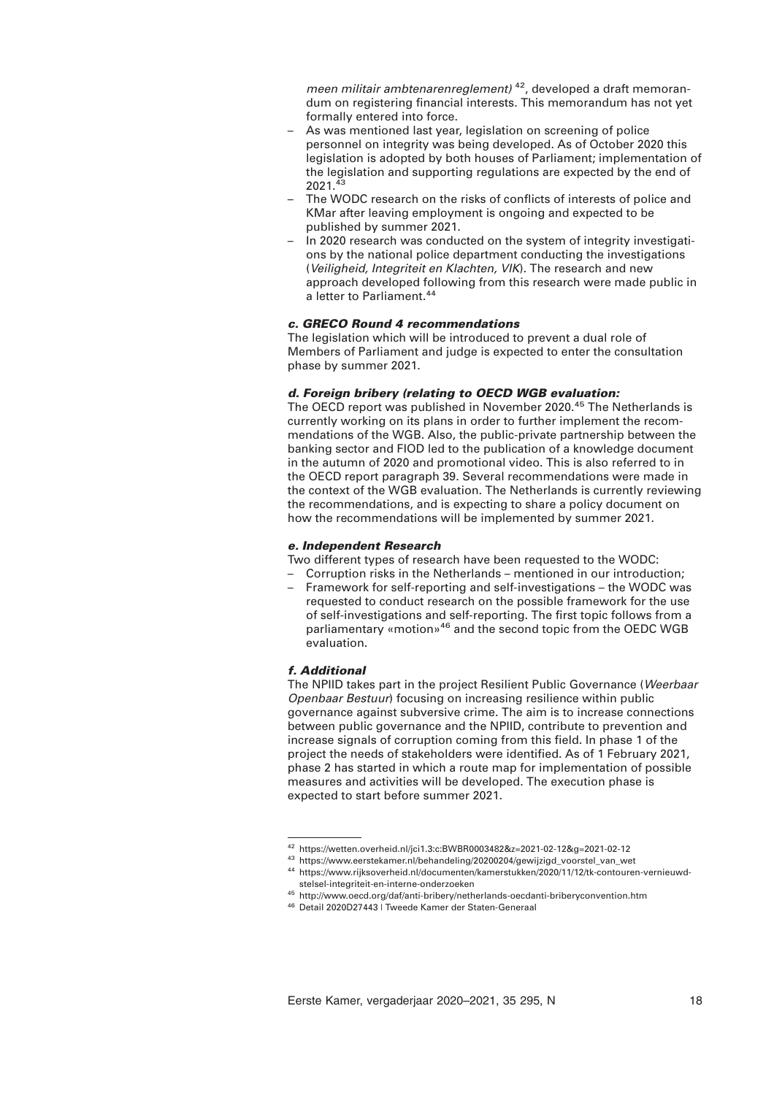*meen militair ambtenarenreglement)* 42, developed a draft memorandum on registering financial interests. This memorandum has not yet formally entered into force.

- As was mentioned last year, legislation on screening of police personnel on integrity was being developed. As of October 2020 this legislation is adopted by both houses of Parliament; implementation of the legislation and supporting regulations are expected by the end of 2021.<sup>43</sup>
- The WODC research on the risks of conflicts of interests of police and KMar after leaving employment is ongoing and expected to be published by summer 2021.
- In 2020 research was conducted on the system of integrity investigations by the national police department conducting the investigations (*Veiligheid, Integriteit en Klachten, VIK*). The research and new approach developed following from this research were made public in a letter to Parliament.<sup>44</sup>

# *c. GRECO Round 4 recommendations*

The legislation which will be introduced to prevent a dual role of Members of Parliament and judge is expected to enter the consultation phase by summer 2021.

# *d. Foreign bribery (relating to OECD WGB evaluation:*

The OECD report was published in November 2020.<sup>45</sup> The Netherlands is currently working on its plans in order to further implement the recommendations of the WGB. Also, the public-private partnership between the banking sector and FIOD led to the publication of a knowledge document in the autumn of 2020 and promotional video. This is also referred to in the OECD report paragraph 39. Several recommendations were made in the context of the WGB evaluation. The Netherlands is currently reviewing the recommendations, and is expecting to share a policy document on how the recommendations will be implemented by summer 2021.

# *e. Independent Research*

Two different types of research have been requested to the WODC:

- Corruption risks in the Netherlands mentioned in our introduction;
- Framework for self-reporting and self-investigations the WODC was requested to conduct research on the possible framework for the use of self-investigations and self-reporting. The first topic follows from a parliamentary «motion»46 and the second topic from the OEDC WGB evaluation.

# *f. Additional*

The NPIID takes part in the project Resilient Public Governance (*Weerbaar Openbaar Bestuur*) focusing on increasing resilience within public governance against subversive crime. The aim is to increase connections between public governance and the NPIID, contribute to prevention and increase signals of corruption coming from this field. In phase 1 of the project the needs of stakeholders were identified. As of 1 February 2021, phase 2 has started in which a route map for implementation of possible measures and activities will be developed. The execution phase is expected to start before summer 2021.

<sup>42</sup> https://wetten.overheid.nl/jci1.3:c:BWBR0003482&z=2021-02-12&g=2021-02-12

<sup>43</sup> https://www.eerstekamer.nl/behandeling/20200204/gewijzigd\_voorstel\_van\_wet

<sup>44</sup> https://www.rijksoverheid.nl/documenten/kamerstukken/2020/11/12/tk-contouren-vernieuwdstelsel-integriteit-en-interne-onderzoeken

<sup>45</sup> http://www.oecd.org/daf/anti-bribery/netherlands-oecdanti-briberyconvention.htm

<sup>46</sup> Detail 2020D27443 | Tweede Kamer der Staten-Generaal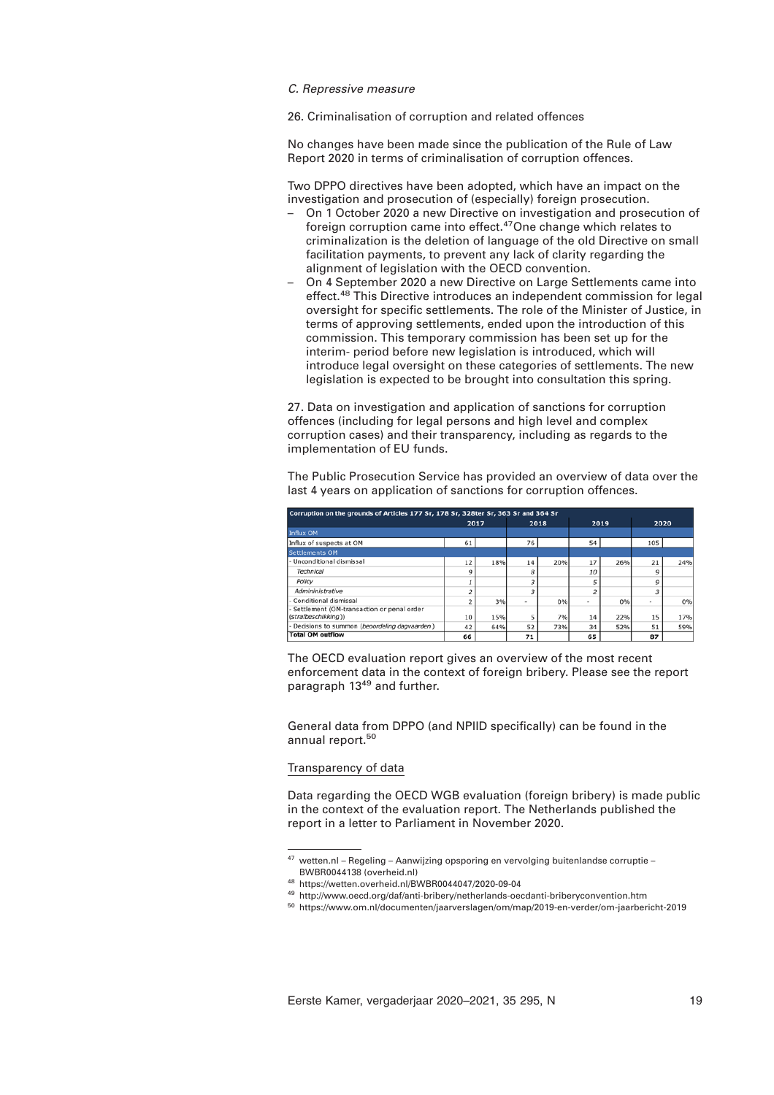## *C. Repressive measure*

26. Criminalisation of corruption and related offences

No changes have been made since the publication of the Rule of Law Report 2020 in terms of criminalisation of corruption offences.

Two DPPO directives have been adopted, which have an impact on the investigation and prosecution of (especially) foreign prosecution.

- On 1 October 2020 a new Directive on investigation and prosecution of foreign corruption came into effect.<sup>47</sup>One change which relates to criminalization is the deletion of language of the old Directive on small facilitation payments, to prevent any lack of clarity regarding the alignment of legislation with the OECD convention.
- On 4 September 2020 a new Directive on Large Settlements came into effect.<sup>48</sup> This Directive introduces an independent commission for legal oversight for specific settlements. The role of the Minister of Justice, in terms of approving settlements, ended upon the introduction of this commission. This temporary commission has been set up for the interim- period before new legislation is introduced, which will introduce legal oversight on these categories of settlements. The new legislation is expected to be brought into consultation this spring.

27. Data on investigation and application of sanctions for corruption offences (including for legal persons and high level and complex corruption cases) and their transparency, including as regards to the implementation of EU funds.

The Public Prosecution Service has provided an overview of data over the last 4 years on application of sanctions for corruption offences.

| Corruption on the grounds of Articles 177 Sr, 178 Sr, 328ter Sr, 363 Sr and 364 Sr |      |     |      |     |                |     |      |     |
|------------------------------------------------------------------------------------|------|-----|------|-----|----------------|-----|------|-----|
|                                                                                    | 2017 |     | 2018 |     | 2019           |     | 2020 |     |
| <b>Influx OM</b>                                                                   |      |     |      |     |                |     |      |     |
| Influx of suspects at OM                                                           | 61   |     | 76   |     | 54             |     | 105  |     |
| <b>Settlements OM</b>                                                              |      |     |      |     |                |     |      |     |
| - Unconditional dismissal                                                          | 12   | 18% | 14   | 20% | 17             | 26% | 21   | 24% |
| Technical                                                                          | Q    |     | 8    |     | 10             |     | 9    |     |
| Policy                                                                             |      |     |      |     | 5              |     | 9    |     |
| Admininistrative                                                                   |      |     |      |     | $\overline{a}$ |     |      |     |
| - Conditional dismissal                                                            |      | 3%  | ۰    | 0%  | $\sim$         | 0%  | ٠    | 0%  |
| - Settlement (OM-transaction or penal order<br>(strafbeschikking))                 | 10   | 15% | 5    | 7%  | 14             | 22% | 15   | 17% |
| - Decisions to summon (beoordeling dagvaarden)                                     | 42   | 64% | 52   | 73% | 34             | 52% | 51   | 59% |
| <b>Total OM outflow</b>                                                            | 66   |     | 71   |     | 65             |     | 87   |     |

The OECD evaluation report gives an overview of the most recent enforcement data in the context of foreign bribery. Please see the report paragraph 13<sup>49</sup> and further.

General data from DPPO (and NPIID specifically) can be found in the annual report.<sup>50</sup>

# Transparency of data

Data regarding the OECD WGB evaluation (foreign bribery) is made public in the context of the evaluation report. The Netherlands published the report in a letter to Parliament in November 2020.

 $47$  wetten.nl – Regeling – Aanwijzing opsporing en vervolging buitenlandse corruptie – BWBR0044138 (overheid.nl)

<sup>48</sup> https://wetten.overheid.nl/BWBR0044047/2020-09-04

<sup>49</sup> http://www.oecd.org/daf/anti-bribery/netherlands-oecdanti-briberyconvention.htm

<sup>50</sup> https://www.om.nl/documenten/jaarverslagen/om/map/2019-en-verder/om-jaarbericht-2019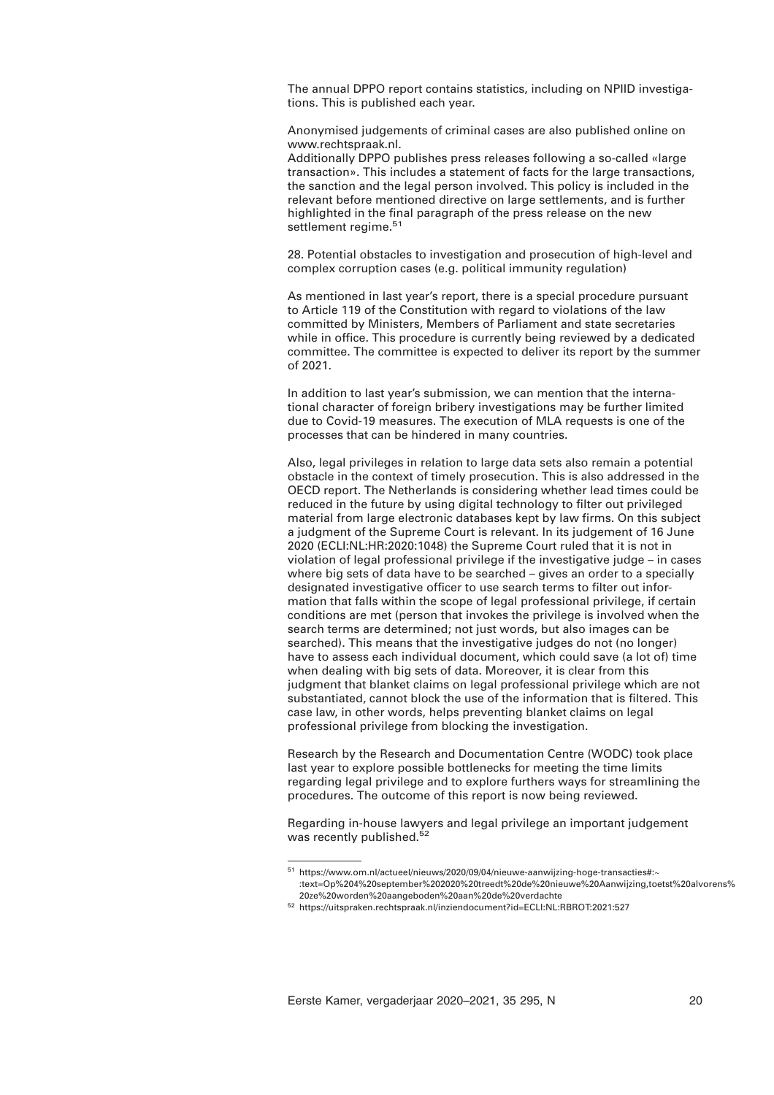The annual DPPO report contains statistics, including on NPIID investigations. This is published each year.

Anonymised judgements of criminal cases are also published online on www.rechtspraak.nl.

Additionally DPPO publishes press releases following a so-called «large transaction». This includes a statement of facts for the large transactions, the sanction and the legal person involved. This policy is included in the relevant before mentioned directive on large settlements, and is further highlighted in the final paragraph of the press release on the new settlement regime.<sup>51</sup>

28. Potential obstacles to investigation and prosecution of high-level and complex corruption cases (e.g. political immunity regulation)

As mentioned in last year's report, there is a special procedure pursuant to Article 119 of the Constitution with regard to violations of the law committed by Ministers, Members of Parliament and state secretaries while in office. This procedure is currently being reviewed by a dedicated committee. The committee is expected to deliver its report by the summer of 2021.

In addition to last year's submission, we can mention that the international character of foreign bribery investigations may be further limited due to Covid-19 measures. The execution of MLA requests is one of the processes that can be hindered in many countries.

Also, legal privileges in relation to large data sets also remain a potential obstacle in the context of timely prosecution. This is also addressed in the OECD report. The Netherlands is considering whether lead times could be reduced in the future by using digital technology to filter out privileged material from large electronic databases kept by law firms. On this subject a judgment of the Supreme Court is relevant. In its judgement of 16 June 2020 (ECLI:NL:HR:2020:1048) the Supreme Court ruled that it is not in violation of legal professional privilege if the investigative judge – in cases where big sets of data have to be searched – gives an order to a specially designated investigative officer to use search terms to filter out information that falls within the scope of legal professional privilege, if certain conditions are met (person that invokes the privilege is involved when the search terms are determined; not just words, but also images can be searched). This means that the investigative judges do not (no longer) have to assess each individual document, which could save (a lot of) time when dealing with big sets of data. Moreover, it is clear from this judgment that blanket claims on legal professional privilege which are not substantiated, cannot block the use of the information that is filtered. This case law, in other words, helps preventing blanket claims on legal professional privilege from blocking the investigation.

Research by the Research and Documentation Centre (WODC) took place last year to explore possible bottlenecks for meeting the time limits regarding legal privilege and to explore furthers ways for streamlining the procedures. The outcome of this report is now being reviewed.

Regarding in-house lawyers and legal privilege an important judgement was recently published.<sup>52</sup>

<sup>51</sup> https://www.om.nl/actueel/nieuws/2020/09/04/nieuwe-aanwijzing-hoge-transacties#:~ :text=Op%204%20september%202020%20treedt%20de%20nieuwe%20Aanwijzing,toetst%20alvorens% 20ze%20worden%20aangeboden%20aan%20de%20verdachte

<sup>52</sup> https://uitspraken.rechtspraak.nl/inziendocument?id=ECLI:NL:RBROT:2021:527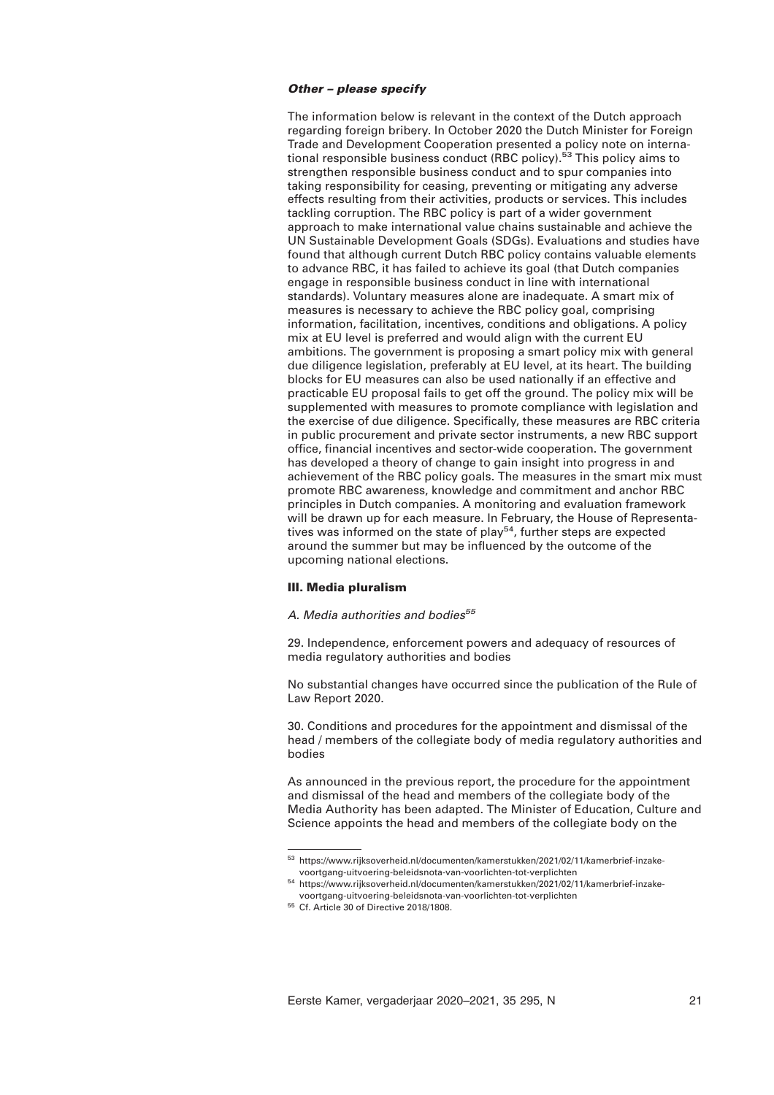## *Other – please specify*

The information below is relevant in the context of the Dutch approach regarding foreign bribery. In October 2020 the Dutch Minister for Foreign Trade and Development Cooperation presented a policy note on international responsible business conduct (RBC policy).<sup>53</sup> This policy aims to strengthen responsible business conduct and to spur companies into taking responsibility for ceasing, preventing or mitigating any adverse effects resulting from their activities, products or services. This includes tackling corruption. The RBC policy is part of a wider government approach to make international value chains sustainable and achieve the UN Sustainable Development Goals (SDGs). Evaluations and studies have found that although current Dutch RBC policy contains valuable elements to advance RBC, it has failed to achieve its goal (that Dutch companies engage in responsible business conduct in line with international standards). Voluntary measures alone are inadequate. A smart mix of measures is necessary to achieve the RBC policy goal, comprising information, facilitation, incentives, conditions and obligations. A policy mix at EU level is preferred and would align with the current EU ambitions. The government is proposing a smart policy mix with general due diligence legislation, preferably at EU level, at its heart. The building blocks for EU measures can also be used nationally if an effective and practicable EU proposal fails to get off the ground. The policy mix will be supplemented with measures to promote compliance with legislation and the exercise of due diligence. Specifically, these measures are RBC criteria in public procurement and private sector instruments, a new RBC support office, financial incentives and sector-wide cooperation. The government has developed a theory of change to gain insight into progress in and achievement of the RBC policy goals. The measures in the smart mix must promote RBC awareness, knowledge and commitment and anchor RBC principles in Dutch companies. A monitoring and evaluation framework will be drawn up for each measure. In February, the House of Representatives was informed on the state of play<sup>54</sup>, further steps are expected around the summer but may be influenced by the outcome of the upcoming national elections.

# **III. Media pluralism**

## *A. Media authorities and bodies<sup>55</sup>*

29. Independence, enforcement powers and adequacy of resources of media regulatory authorities and bodies

No substantial changes have occurred since the publication of the Rule of Law Report 2020.

30. Conditions and procedures for the appointment and dismissal of the head / members of the collegiate body of media regulatory authorities and bodies

As announced in the previous report, the procedure for the appointment and dismissal of the head and members of the collegiate body of the Media Authority has been adapted. The Minister of Education, Culture and Science appoints the head and members of the collegiate body on the

<sup>53</sup> https://www.rijksoverheid.nl/documenten/kamerstukken/2021/02/11/kamerbrief-inzakevoortgang-uitvoering-beleidsnota-van-voorlichten-tot-verplichten

<sup>54</sup> https://www.rijksoverheid.nl/documenten/kamerstukken/2021/02/11/kamerbrief-inzakevoortgang-uitvoering-beleidsnota-van-voorlichten-tot-verplichten

<sup>55</sup> Cf. Article 30 of Directive 2018/1808.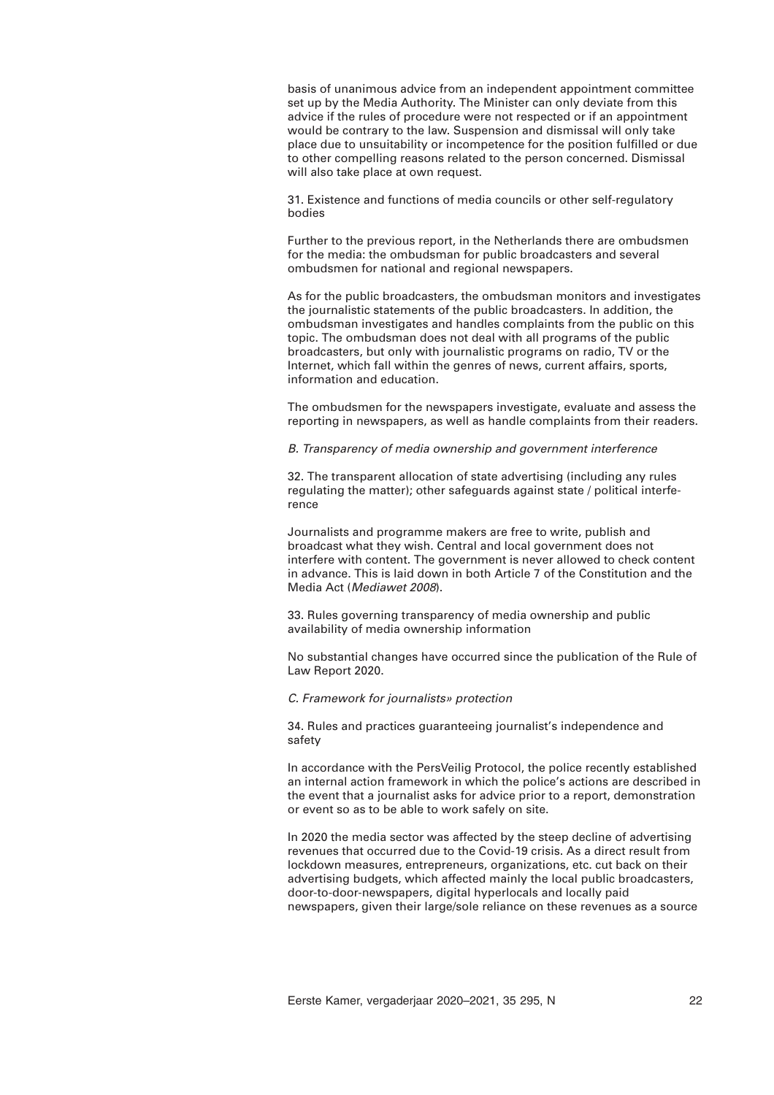basis of unanimous advice from an independent appointment committee set up by the Media Authority. The Minister can only deviate from this advice if the rules of procedure were not respected or if an appointment would be contrary to the law. Suspension and dismissal will only take place due to unsuitability or incompetence for the position fulfilled or due to other compelling reasons related to the person concerned. Dismissal will also take place at own request.

31. Existence and functions of media councils or other self-regulatory bodies

Further to the previous report, in the Netherlands there are ombudsmen for the media: the ombudsman for public broadcasters and several ombudsmen for national and regional newspapers.

As for the public broadcasters, the ombudsman monitors and investigates the journalistic statements of the public broadcasters. In addition, the ombudsman investigates and handles complaints from the public on this topic. The ombudsman does not deal with all programs of the public broadcasters, but only with journalistic programs on radio, TV or the Internet, which fall within the genres of news, current affairs, sports, information and education.

The ombudsmen for the newspapers investigate, evaluate and assess the reporting in newspapers, as well as handle complaints from their readers.

*B. Transparency of media ownership and government interference* 

32. The transparent allocation of state advertising (including any rules regulating the matter); other safeguards against state / political interference

Journalists and programme makers are free to write, publish and broadcast what they wish. Central and local government does not interfere with content. The government is never allowed to check content in advance. This is laid down in both Article 7 of the Constitution and the Media Act (*Mediawet 2008*).

33. Rules governing transparency of media ownership and public availability of media ownership information

No substantial changes have occurred since the publication of the Rule of Law Report 2020.

# *C. Framework for journalists» protection*

34. Rules and practices guaranteeing journalist's independence and safety

In accordance with the PersVeilig Protocol, the police recently established an internal action framework in which the police's actions are described in the event that a journalist asks for advice prior to a report, demonstration or event so as to be able to work safely on site.

In 2020 the media sector was affected by the steep decline of advertising revenues that occurred due to the Covid-19 crisis. As a direct result from lockdown measures, entrepreneurs, organizations, etc. cut back on their advertising budgets, which affected mainly the local public broadcasters, door-to-door-newspapers, digital hyperlocals and locally paid newspapers, given their large/sole reliance on these revenues as a source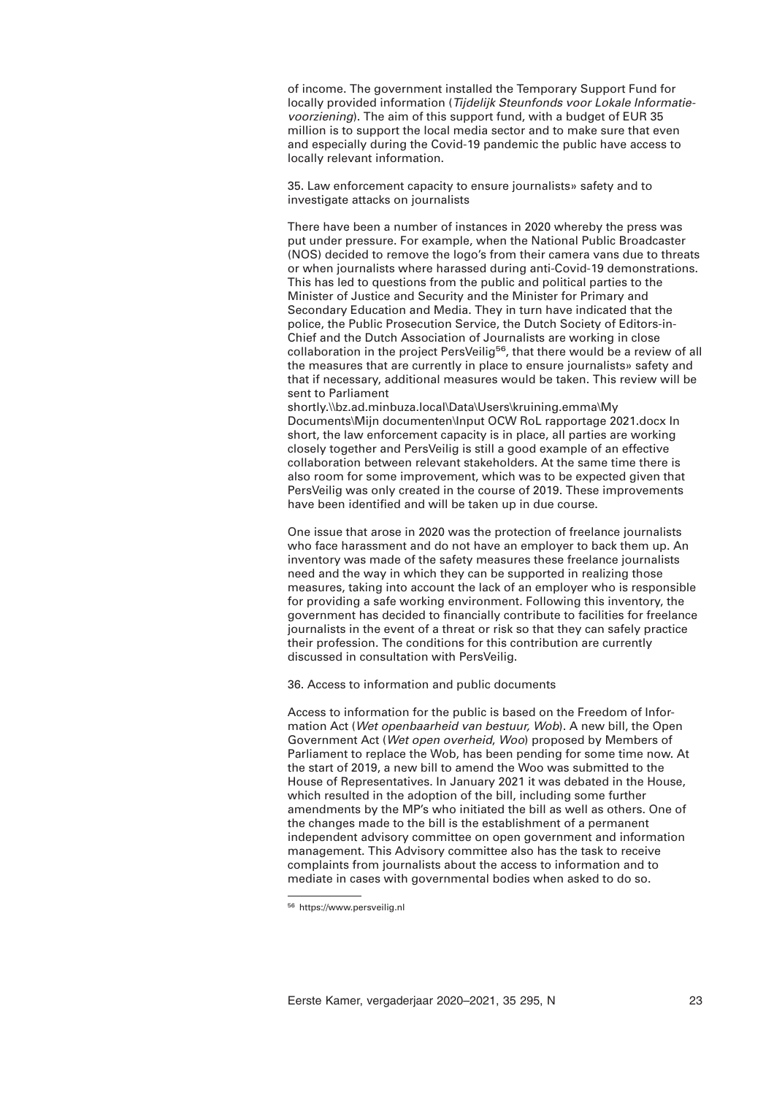of income. The government installed the Temporary Support Fund for locally provided information (*Tijdelijk Steunfonds voor Lokale Informatievoorziening*). The aim of this support fund, with a budget of EUR 35 million is to support the local media sector and to make sure that even and especially during the Covid-19 pandemic the public have access to locally relevant information.

35. Law enforcement capacity to ensure journalists» safety and to investigate attacks on journalists

There have been a number of instances in 2020 whereby the press was put under pressure. For example, when the National Public Broadcaster (NOS) decided to remove the logo's from their camera vans due to threats or when journalists where harassed during anti-Covid-19 demonstrations. This has led to questions from the public and political parties to the Minister of Justice and Security and the Minister for Primary and Secondary Education and Media. They in turn have indicated that the police, the Public Prosecution Service, the Dutch Society of Editors-in-Chief and the Dutch Association of Journalists are working in close collaboration in the project PersVeilig<sup>56</sup>, that there would be a review of all the measures that are currently in place to ensure journalists» safety and that if necessary, additional measures would be taken. This review will be sent to Parliament

shortly.\\bz.ad.minbuza.local\Data\Users\kruining.emma\My Documents\Mijn documenten\Input OCW RoL rapportage 2021.docx In short, the law enforcement capacity is in place, all parties are working closely together and PersVeilig is still a good example of an effective collaboration between relevant stakeholders. At the same time there is also room for some improvement, which was to be expected given that PersVeilig was only created in the course of 2019. These improvements have been identified and will be taken up in due course.

One issue that arose in 2020 was the protection of freelance journalists who face harassment and do not have an employer to back them up. An inventory was made of the safety measures these freelance journalists need and the way in which they can be supported in realizing those measures, taking into account the lack of an employer who is responsible for providing a safe working environment. Following this inventory, the government has decided to financially contribute to facilities for freelance journalists in the event of a threat or risk so that they can safely practice their profession. The conditions for this contribution are currently discussed in consultation with PersVeilig.

36. Access to information and public documents

Access to information for the public is based on the Freedom of Information Act (*Wet openbaarheid van bestuur, Wob*). A new bill, the Open Government Act (*Wet open overheid*, *Woo*) proposed by Members of Parliament to replace the Wob, has been pending for some time now. At the start of 2019, a new bill to amend the Woo was submitted to the House of Representatives. In January 2021 it was debated in the House, which resulted in the adoption of the bill, including some further amendments by the MP's who initiated the bill as well as others. One of the changes made to the bill is the establishment of a permanent independent advisory committee on open government and information management. This Advisory committee also has the task to receive complaints from journalists about the access to information and to mediate in cases with governmental bodies when asked to do so.

<sup>56</sup> https://www.persveilig.nl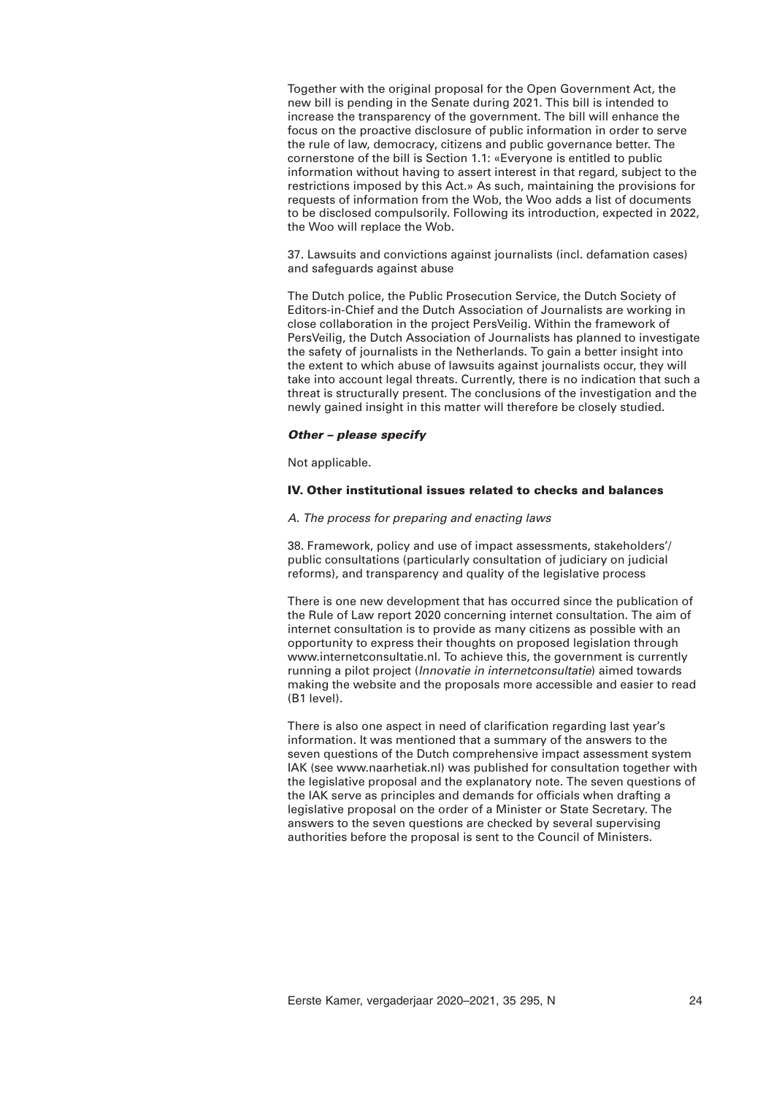Together with the original proposal for the Open Government Act, the new bill is pending in the Senate during 2021. This bill is intended to increase the transparency of the government. The bill will enhance the focus on the proactive disclosure of public information in order to serve the rule of law, democracy, citizens and public governance better. The cornerstone of the bill is Section 1.1: «Everyone is entitled to public information without having to assert interest in that regard, subject to the restrictions imposed by this Act.» As such, maintaining the provisions for requests of information from the Wob, the Woo adds a list of documents to be disclosed compulsorily. Following its introduction, expected in 2022, the Woo will replace the Wob.

37. Lawsuits and convictions against journalists (incl. defamation cases) and safeguards against abuse

The Dutch police, the Public Prosecution Service, the Dutch Society of Editors-in-Chief and the Dutch Association of Journalists are working in close collaboration in the project PersVeilig. Within the framework of PersVeilig, the Dutch Association of Journalists has planned to investigate the safety of journalists in the Netherlands. To gain a better insight into the extent to which abuse of lawsuits against journalists occur, they will take into account legal threats. Currently, there is no indication that such a threat is structurally present. The conclusions of the investigation and the newly gained insight in this matter will therefore be closely studied.

# *Other – please specify*

Not applicable.

## **IV. Other institutional issues related to checks and balances**

## *A. The process for preparing and enacting laws*

38. Framework, policy and use of impact assessments, stakeholders'/ public consultations (particularly consultation of judiciary on judicial reforms), and transparency and quality of the legislative process

There is one new development that has occurred since the publication of the Rule of Law report 2020 concerning internet consultation. The aim of internet consultation is to provide as many citizens as possible with an opportunity to express their thoughts on proposed legislation through www.internetconsultatie.nl. To achieve this, the government is currently running a pilot project (*Innovatie in internetconsultatie*) aimed towards making the website and the proposals more accessible and easier to read (B1 level).

There is also one aspect in need of clarification regarding last year's information. It was mentioned that a summary of the answers to the seven questions of the Dutch comprehensive impact assessment system IAK (see www.naarhetiak.nl) was published for consultation together with the legislative proposal and the explanatory note. The seven questions of the IAK serve as principles and demands for officials when drafting a legislative proposal on the order of a Minister or State Secretary. The answers to the seven questions are checked by several supervising authorities before the proposal is sent to the Council of Ministers.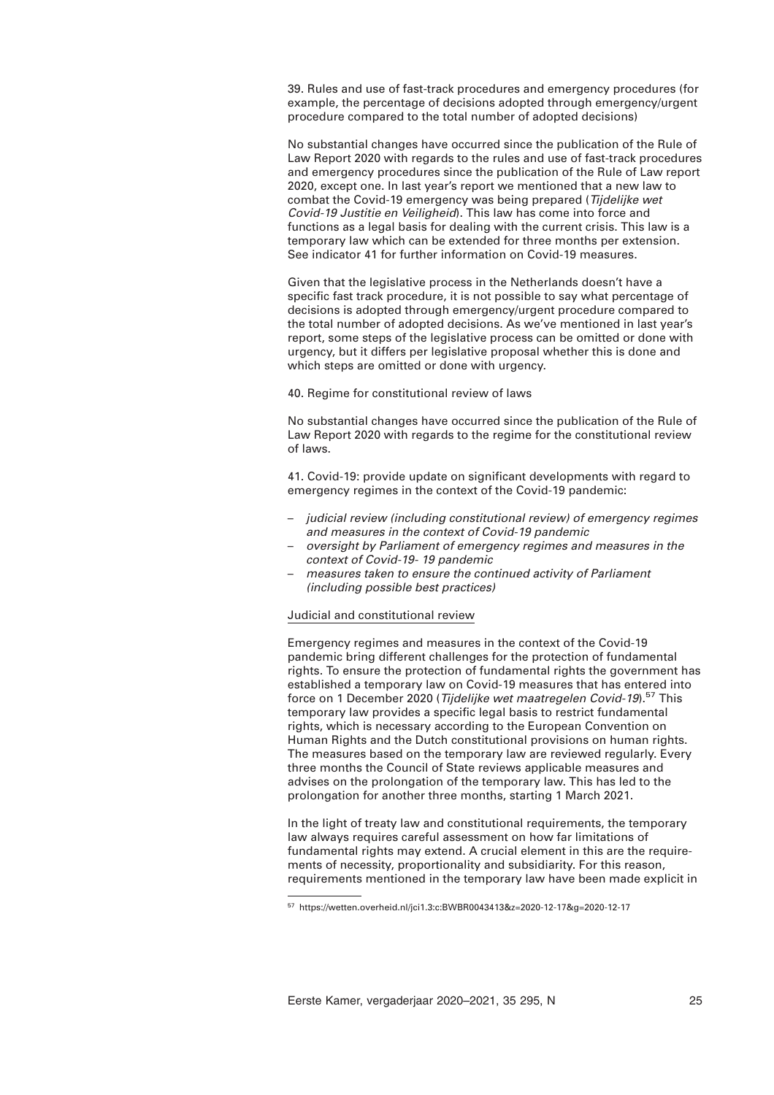39. Rules and use of fast-track procedures and emergency procedures (for example, the percentage of decisions adopted through emergency/urgent procedure compared to the total number of adopted decisions)

No substantial changes have occurred since the publication of the Rule of Law Report 2020 with regards to the rules and use of fast-track procedures and emergency procedures since the publication of the Rule of Law report 2020, except one. In last year's report we mentioned that a new law to combat the Covid-19 emergency was being prepared (*Tijdelijke wet Covid-19 Justitie en Veiligheid*). This law has come into force and functions as a legal basis for dealing with the current crisis. This law is a temporary law which can be extended for three months per extension. See indicator 41 for further information on Covid-19 measures.

Given that the legislative process in the Netherlands doesn't have a specific fast track procedure, it is not possible to say what percentage of decisions is adopted through emergency/urgent procedure compared to the total number of adopted decisions. As we've mentioned in last year's report, some steps of the legislative process can be omitted or done with urgency, but it differs per legislative proposal whether this is done and which steps are omitted or done with urgency.

40. Regime for constitutional review of laws

No substantial changes have occurred since the publication of the Rule of Law Report 2020 with regards to the regime for the constitutional review of laws.

41. Covid-19: provide update on significant developments with regard to emergency regimes in the context of the Covid-19 pandemic:

- *judicial review (including constitutional review) of emergency regimes and measures in the context of Covid-19 pandemic*
- *oversight by Parliament of emergency regimes and measures in the context of Covid-19- 19 pandemic*
- *measures taken to ensure the continued activity of Parliament (including possible best practices)*

# Judicial and constitutional review

Emergency regimes and measures in the context of the Covid-19 pandemic bring different challenges for the protection of fundamental rights. To ensure the protection of fundamental rights the government has established a temporary law on Covid-19 measures that has entered into force on 1 December 2020 (*Tijdelijke wet maatregelen Covid-19*).57 This temporary law provides a specific legal basis to restrict fundamental rights, which is necessary according to the European Convention on Human Rights and the Dutch constitutional provisions on human rights. The measures based on the temporary law are reviewed regularly. Every three months the Council of State reviews applicable measures and advises on the prolongation of the temporary law. This has led to the prolongation for another three months, starting 1 March 2021.

In the light of treaty law and constitutional requirements, the temporary law always requires careful assessment on how far limitations of fundamental rights may extend. A crucial element in this are the requirements of necessity, proportionality and subsidiarity. For this reason, requirements mentioned in the temporary law have been made explicit in

<sup>57</sup> https://wetten.overheid.nl/jci1.3:c:BWBR0043413&z=2020-12-17&g=2020-12-17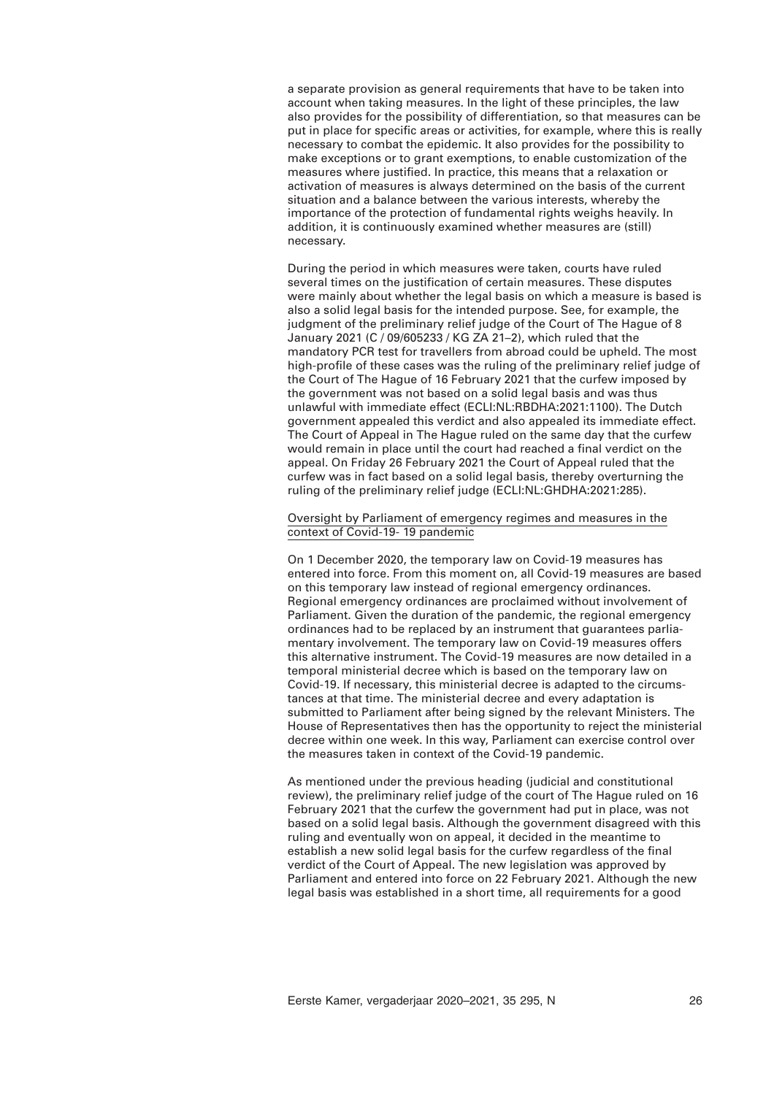a separate provision as general requirements that have to be taken into account when taking measures. In the light of these principles, the law also provides for the possibility of differentiation, so that measures can be put in place for specific areas or activities, for example, where this is really necessary to combat the epidemic. It also provides for the possibility to make exceptions or to grant exemptions, to enable customization of the measures where justified. In practice, this means that a relaxation or activation of measures is always determined on the basis of the current situation and a balance between the various interests, whereby the importance of the protection of fundamental rights weighs heavily. In addition, it is continuously examined whether measures are (still) necessary.

During the period in which measures were taken, courts have ruled several times on the justification of certain measures. These disputes were mainly about whether the legal basis on which a measure is based is also a solid legal basis for the intended purpose. See, for example, the judgment of the preliminary relief judge of the Court of The Hague of 8 January 2021 (C / 09/605233 / KG ZA 21–2), which ruled that the mandatory PCR test for travellers from abroad could be upheld. The most high-profile of these cases was the ruling of the preliminary relief judge of the Court of The Hague of 16 February 2021 that the curfew imposed by the government was not based on a solid legal basis and was thus unlawful with immediate effect (ECLI:NL:RBDHA:2021:1100). The Dutch government appealed this verdict and also appealed its immediate effect. The Court of Appeal in The Hague ruled on the same day that the curfew would remain in place until the court had reached a final verdict on the appeal. On Friday 26 February 2021 the Court of Appeal ruled that the curfew was in fact based on a solid legal basis, thereby overturning the ruling of the preliminary relief judge (ECLI:NL:GHDHA:2021:285).

# Oversight by Parliament of emergency regimes and measures in the context of Covid-19- 19 pandemic

On 1 December 2020, the temporary law on Covid-19 measures has entered into force. From this moment on, all Covid-19 measures are based on this temporary law instead of regional emergency ordinances. Regional emergency ordinances are proclaimed without involvement of Parliament. Given the duration of the pandemic, the regional emergency ordinances had to be replaced by an instrument that guarantees parliamentary involvement. The temporary law on Covid-19 measures offers this alternative instrument. The Covid-19 measures are now detailed in a temporal ministerial decree which is based on the temporary law on Covid-19. If necessary, this ministerial decree is adapted to the circumstances at that time. The ministerial decree and every adaptation is submitted to Parliament after being signed by the relevant Ministers. The House of Representatives then has the opportunity to reject the ministerial decree within one week. In this way, Parliament can exercise control over the measures taken in context of the Covid-19 pandemic.

As mentioned under the previous heading (judicial and constitutional review), the preliminary relief judge of the court of The Hague ruled on 16 February 2021 that the curfew the government had put in place, was not based on a solid legal basis. Although the government disagreed with this ruling and eventually won on appeal, it decided in the meantime to establish a new solid legal basis for the curfew regardless of the final verdict of the Court of Appeal. The new legislation was approved by Parliament and entered into force on 22 February 2021. Although the new legal basis was established in a short time, all requirements for a good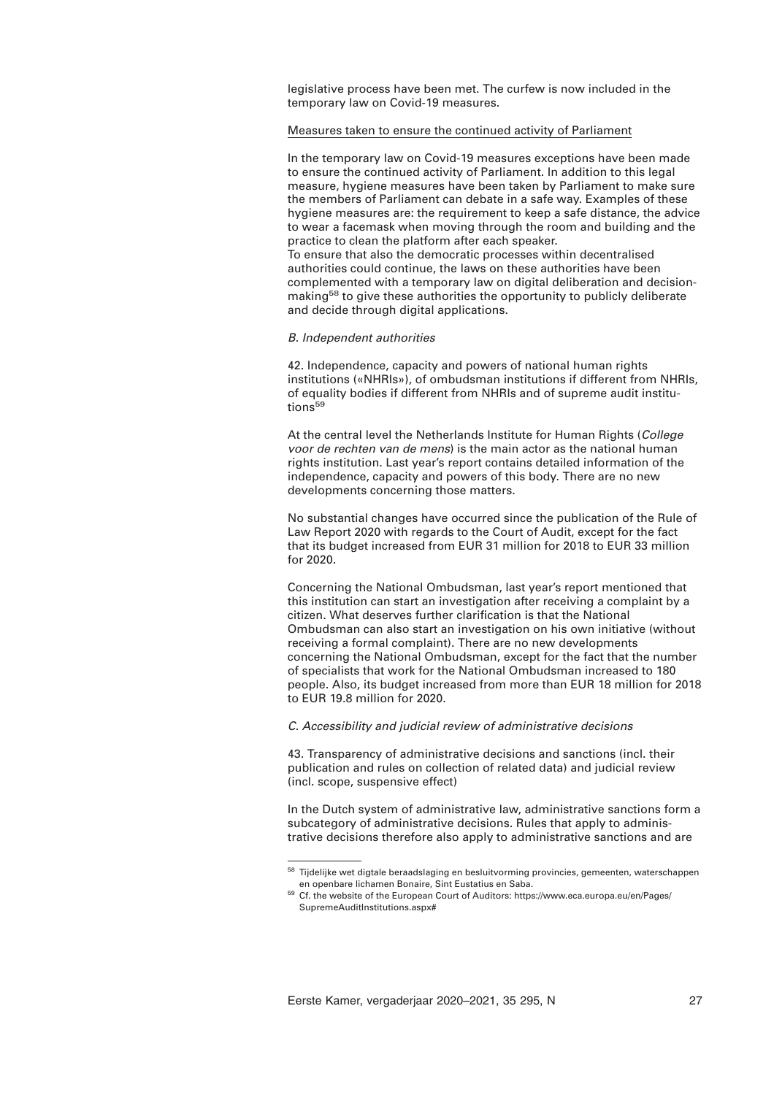legislative process have been met. The curfew is now included in the temporary law on Covid-19 measures.

## Measures taken to ensure the continued activity of Parliament

In the temporary law on Covid-19 measures exceptions have been made to ensure the continued activity of Parliament. In addition to this legal measure, hygiene measures have been taken by Parliament to make sure the members of Parliament can debate in a safe way. Examples of these hygiene measures are: the requirement to keep a safe distance, the advice to wear a facemask when moving through the room and building and the practice to clean the platform after each speaker. To ensure that also the democratic processes within decentralised authorities could continue, the laws on these authorities have been complemented with a temporary law on digital deliberation and decisionmaking<sup>58</sup> to give these authorities the opportunity to publicly deliberate and decide through digital applications.

## *B. Independent authorities*

42. Independence, capacity and powers of national human rights institutions («NHRIs»), of ombudsman institutions if different from NHRIs, of equality bodies if different from NHRIs and of supreme audit institutions<sup>59</sup>

At the central level the Netherlands Institute for Human Rights (*College voor de rechten van de mens*) is the main actor as the national human rights institution. Last year's report contains detailed information of the independence, capacity and powers of this body. There are no new developments concerning those matters.

No substantial changes have occurred since the publication of the Rule of Law Report 2020 with regards to the Court of Audit, except for the fact that its budget increased from EUR 31 million for 2018 to EUR 33 million for 2020.

Concerning the National Ombudsman, last year's report mentioned that this institution can start an investigation after receiving a complaint by a citizen. What deserves further clarification is that the National Ombudsman can also start an investigation on his own initiative (without receiving a formal complaint). There are no new developments concerning the National Ombudsman, except for the fact that the number of specialists that work for the National Ombudsman increased to 180 people. Also, its budget increased from more than EUR 18 million for 2018 to EUR 19.8 million for 2020.

# *C. Accessibility and judicial review of administrative decisions*

43. Transparency of administrative decisions and sanctions (incl. their publication and rules on collection of related data) and judicial review (incl. scope, suspensive effect)

In the Dutch system of administrative law, administrative sanctions form a subcategory of administrative decisions. Rules that apply to administrative decisions therefore also apply to administrative sanctions and are

<sup>&</sup>lt;sup>58</sup> Tijdelijke wet digtale beraadslaging en besluitvorming provincies, gemeenten, waterschappen en openbare lichamen Bonaire, Sint Eustatius en Saba.

<sup>&</sup>lt;sup>59</sup> Cf. the website of the European Court of Auditors: https://www.eca.europa.eu/en/Pages/ SupremeAuditInstitutions.aspx#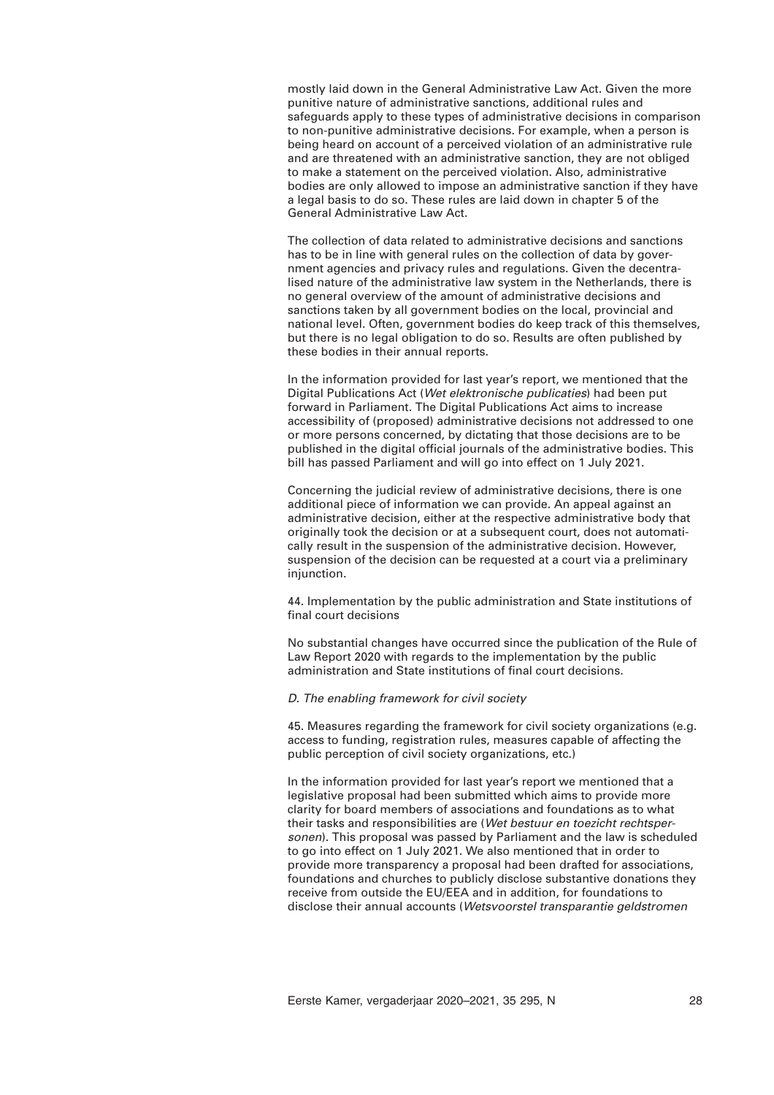mostly laid down in the General Administrative Law Act. Given the more punitive nature of administrative sanctions, additional rules and safeguards apply to these types of administrative decisions in comparison to non-punitive administrative decisions. For example, when a person is being heard on account of a perceived violation of an administrative rule and are threatened with an administrative sanction, they are not obliged to make a statement on the perceived violation. Also, administrative bodies are only allowed to impose an administrative sanction if they have a legal basis to do so. These rules are laid down in chapter 5 of the General Administrative Law Act.

The collection of data related to administrative decisions and sanctions has to be in line with general rules on the collection of data by government agencies and privacy rules and regulations. Given the decentralised nature of the administrative law system in the Netherlands, there is no general overview of the amount of administrative decisions and sanctions taken by all government bodies on the local, provincial and national level. Often, government bodies do keep track of this themselves, but there is no legal obligation to do so. Results are often published by these bodies in their annual reports.

In the information provided for last year's report, we mentioned that the Digital Publications Act (*Wet elektronische publicaties*) had been put forward in Parliament. The Digital Publications Act aims to increase accessibility of (proposed) administrative decisions not addressed to one or more persons concerned, by dictating that those decisions are to be published in the digital official journals of the administrative bodies. This bill has passed Parliament and will go into effect on 1 July 2021.

Concerning the judicial review of administrative decisions, there is one additional piece of information we can provide. An appeal against an administrative decision, either at the respective administrative body that originally took the decision or at a subsequent court, does not automatically result in the suspension of the administrative decision. However, suspension of the decision can be requested at a court via a preliminary injunction.

44. Implementation by the public administration and State institutions of final court decisions

No substantial changes have occurred since the publication of the Rule of Law Report 2020 with regards to the implementation by the public administration and State institutions of final court decisions.

# *D. The enabling framework for civil society*

45. Measures regarding the framework for civil society organizations (e.g. access to funding, registration rules, measures capable of affecting the public perception of civil society organizations, etc.)

In the information provided for last year's report we mentioned that a legislative proposal had been submitted which aims to provide more clarity for board members of associations and foundations as to what their tasks and responsibilities are (*Wet bestuur en toezicht rechtspersonen*). This proposal was passed by Parliament and the law is scheduled to go into effect on 1 July 2021. We also mentioned that in order to provide more transparency a proposal had been drafted for associations, foundations and churches to publicly disclose substantive donations they receive from outside the EU/EEA and in addition, for foundations to disclose their annual accounts (*Wetsvoorstel transparantie geldstromen*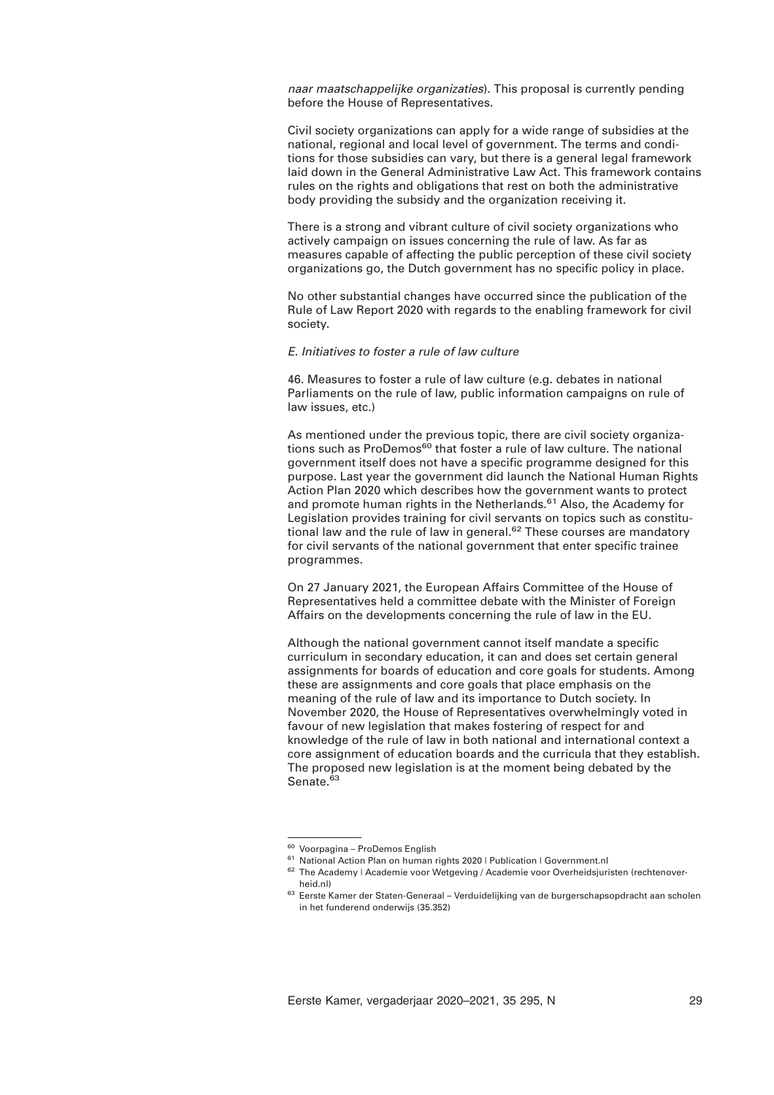*naar maatschappelijke organizaties*). This proposal is currently pending before the House of Representatives.

Civil society organizations can apply for a wide range of subsidies at the national, regional and local level of government. The terms and conditions for those subsidies can vary, but there is a general legal framework laid down in the General Administrative Law Act. This framework contains rules on the rights and obligations that rest on both the administrative body providing the subsidy and the organization receiving it.

There is a strong and vibrant culture of civil society organizations who actively campaign on issues concerning the rule of law. As far as measures capable of affecting the public perception of these civil society organizations go, the Dutch government has no specific policy in place.

No other substantial changes have occurred since the publication of the Rule of Law Report 2020 with regards to the enabling framework for civil society.

## *E. Initiatives to foster a rule of law culture*

46. Measures to foster a rule of law culture (e.g. debates in national Parliaments on the rule of law, public information campaigns on rule of law issues, etc.)

As mentioned under the previous topic, there are civil society organizations such as ProDemos<sup>60</sup> that foster a rule of law culture. The national government itself does not have a specific programme designed for this purpose. Last year the government did launch the National Human Rights Action Plan 2020 which describes how the government wants to protect and promote human rights in the Netherlands.<sup>61</sup> Also, the Academy for Legislation provides training for civil servants on topics such as constitutional law and the rule of law in general.<sup>62</sup> These courses are mandatory for civil servants of the national government that enter specific trainee programmes.

On 27 January 2021, the European Affairs Committee of the House of Representatives held a committee debate with the Minister of Foreign Affairs on the developments concerning the rule of law in the EU.

Although the national government cannot itself mandate a specific curriculum in secondary education, it can and does set certain general assignments for boards of education and core goals for students. Among these are assignments and core goals that place emphasis on the meaning of the rule of law and its importance to Dutch society. In November 2020, the House of Representatives overwhelmingly voted in favour of new legislation that makes fostering of respect for and knowledge of the rule of law in both national and international context a core assignment of education boards and the curricula that they establish. The proposed new legislation is at the moment being debated by the Senate.<sup>63</sup>

<sup>&</sup>lt;sup>60</sup> Voorpagina – ProDemos English

<sup>61</sup> National Action Plan on human rights 2020 | Publication | Government.nl

<sup>&</sup>lt;sup>62</sup> The Academy | Academie voor Wetgeving / Academie voor Overheidsjuristen (rechtenoverheid.nl)

<sup>&</sup>lt;sup>63</sup> Eerste Kamer der Staten-Generaal – Verduidelijking van de burgerschapsopdracht aan scholen in het funderend onderwijs (35.352)